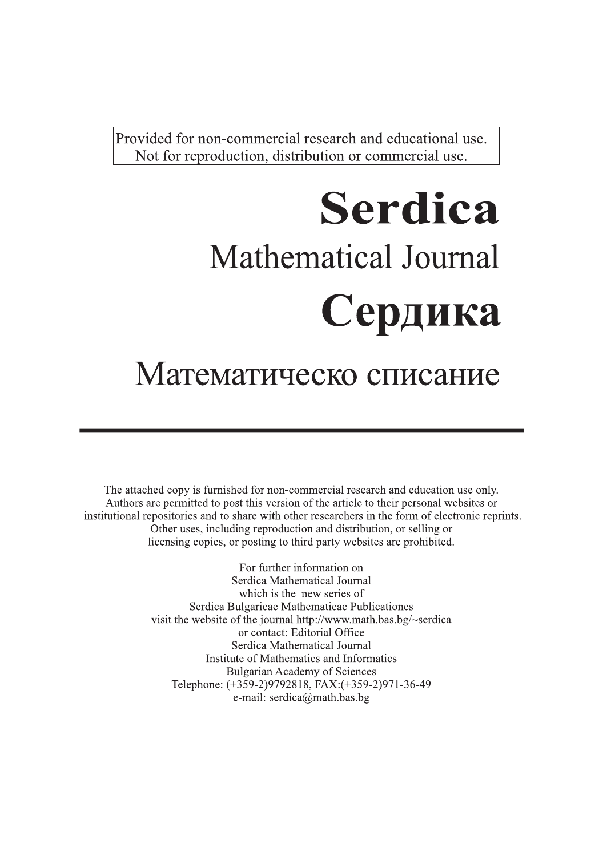Provided for non-commercial research and educational use. Not for reproduction, distribution or commercial use.

# **Serdica Mathematical Journal** Сердика

# Математическо списание

The attached copy is furnished for non-commercial research and education use only. Authors are permitted to post this version of the article to their personal websites or institutional repositories and to share with other researchers in the form of electronic reprints. Other uses, including reproduction and distribution, or selling or licensing copies, or posting to third party websites are prohibited.

> For further information on Serdica Mathematical Journal which is the new series of Serdica Bulgaricae Mathematicae Publicationes visit the website of the journal http://www.math.bas.bg/~serdica or contact: Editorial Office Serdica Mathematical Journal Institute of Mathematics and Informatics **Bulgarian Academy of Sciences** Telephone: (+359-2)9792818, FAX:(+359-2)971-36-49 e-mail: serdica@math.bas.bg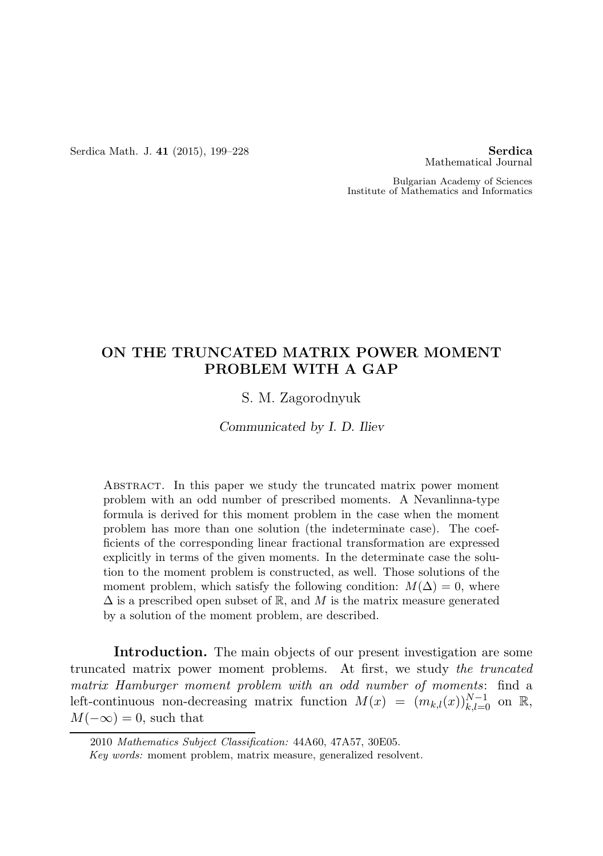Serdica Math. J. 41 (2015), 199–228 **Serdica** Serdica

Mathematical Journal

Bulgarian Academy of Sciences Institute of Mathematics and Informatics

# ON THE TRUNCATED MATRIX POWER MOMENT PROBLEM WITH A GAP

S. M. Zagorodnyuk

*Communicated by I. D. Iliev*

Abstract. In this paper we study the truncated matrix power moment problem with an odd number of prescribed moments. A Nevanlinna-type formula is derived for this moment problem in the case when the moment problem has more than one solution (the indeterminate case). The coefficients of the corresponding linear fractional transformation are expressed explicitly in terms of the given moments. In the determinate case the solution to the moment problem is constructed, as well. Those solutions of the moment problem, which satisfy the following condition:  $M(\Delta) = 0$ , where  $\Delta$  is a prescribed open subset of R, and M is the matrix measure generated by a solution of the moment problem, are described.

Introduction. The main objects of our present investigation are some truncated matrix power moment problems. At first, we study the truncated matrix Hamburger moment problem with an odd number of moments: find a left-continuous non-decreasing matrix function  $M(x) = (m_{k,l}(x))_{k,l=0}^{N-1}$  on  $\mathbb{R}$ ,  $M(-\infty) = 0$ , such that

<sup>2010</sup> Mathematics Subject Classification: 44A60, 47A57, 30E05.

Key words: moment problem, matrix measure, generalized resolvent.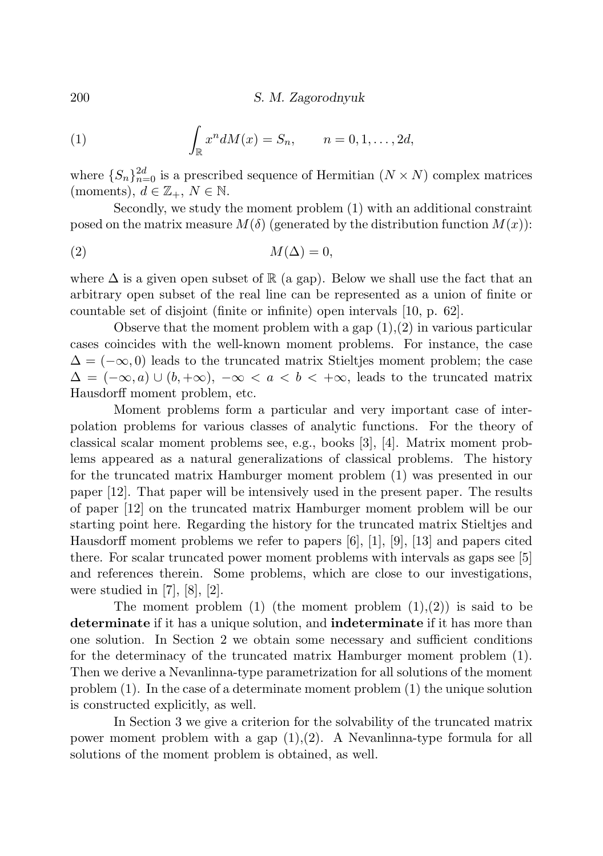(1) 
$$
\int_{\mathbb{R}} x^n dM(x) = S_n, \qquad n = 0, 1, \dots, 2d,
$$

where  $\{S_n\}_{n=0}^{2d}$  is a prescribed sequence of Hermitian  $(N \times N)$  complex matrices (moments),  $d \in \mathbb{Z}_+$ ,  $N \in \mathbb{N}$ .

Secondly, we study the moment problem (1) with an additional constraint posed on the matrix measure  $M(\delta)$  (generated by the distribution function  $M(x)$ ):

$$
(2) \t\t\t M(\Delta) = 0,
$$

where  $\Delta$  is a given open subset of  $\mathbb R$  (a gap). Below we shall use the fact that an arbitrary open subset of the real line can be represented as a union of finite or countable set of disjoint (finite or infinite) open intervals [10, p. 62].

Observe that the moment problem with a gap  $(1),(2)$  in various particular cases coincides with the well-known moment problems. For instance, the case  $\Delta = (-\infty, 0)$  leads to the truncated matrix Stieltjes moment problem; the case  $\Delta = (-\infty, a) \cup (b, +\infty), -\infty < a < b < +\infty$ , leads to the truncated matrix Hausdorff moment problem, etc.

Moment problems form a particular and very important case of interpolation problems for various classes of analytic functions. For the theory of classical scalar moment problems see, e.g., books [3], [4]. Matrix moment problems appeared as a natural generalizations of classical problems. The history for the truncated matrix Hamburger moment problem (1) was presented in our paper [12]. That paper will be intensively used in the present paper. The results of paper [12] on the truncated matrix Hamburger moment problem will be our starting point here. Regarding the history for the truncated matrix Stieltjes and Hausdorff moment problems we refer to papers [6], [1], [9], [13] and papers cited there. For scalar truncated power moment problems with intervals as gaps see [5] and references therein. Some problems, which are close to our investigations, were studied in  $[7]$ ,  $[8]$ ,  $[2]$ .

The moment problem  $(1)$  (the moment problem  $(1),(2)$ ) is said to be determinate if it has a unique solution, and indeterminate if it has more than one solution. In Section 2 we obtain some necessary and sufficient conditions for the determinacy of the truncated matrix Hamburger moment problem (1). Then we derive a Nevanlinna-type parametrization for all solutions of the moment problem (1). In the case of a determinate moment problem (1) the unique solution is constructed explicitly, as well.

In Section 3 we give a criterion for the solvability of the truncated matrix power moment problem with a gap  $(1),(2)$ . A Nevanlinna-type formula for all solutions of the moment problem is obtained, as well.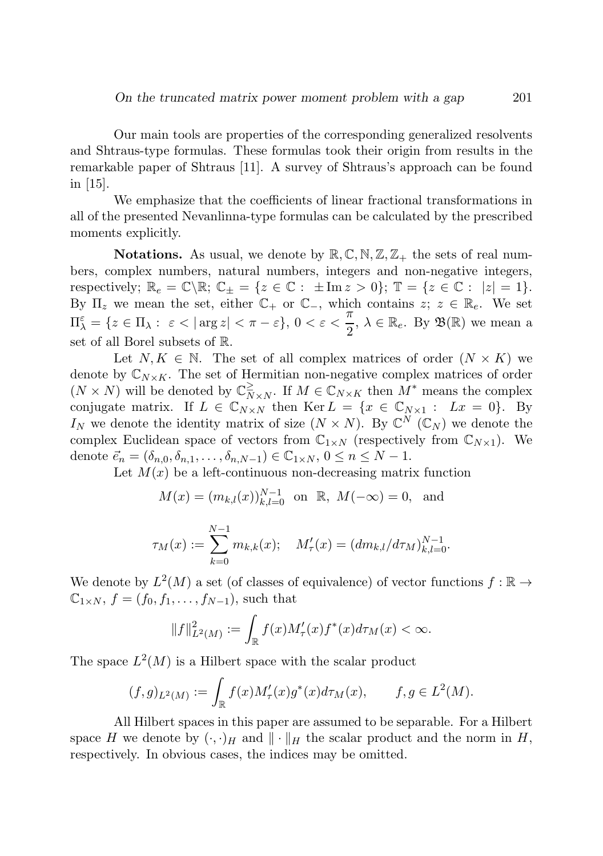Our main tools are properties of the corresponding generalized resolvents and Shtraus-type formulas. These formulas took their origin from results in the remarkable paper of Shtraus [11]. A survey of Shtraus's approach can be found in [15].

We emphasize that the coefficients of linear fractional transformations in all of the presented Nevanlinna-type formulas can be calculated by the prescribed moments explicitly.

**Notations.** As usual, we denote by  $\mathbb{R}, \mathbb{C}, \mathbb{N}, \mathbb{Z}, \mathbb{Z}_+$  the sets of real numbers, complex numbers, natural numbers, integers and non-negative integers, respectively;  $\mathbb{R}_e = \mathbb{C} \backslash \mathbb{R}; \mathbb{C}_{\pm} = \{z \in \mathbb{C} : \pm \text{Im} z > 0\}; \mathbb{T} = \{z \in \mathbb{C} : |z| = 1\}.$ By  $\Pi_z$  we mean the set, either  $\mathbb{C}_+$  or  $\mathbb{C}_-$ , which contains  $z; z \in \mathbb{R}_e$ . We set  $\Pi_{\lambda}^{\varepsilon} = \{z \in \Pi_{\lambda}: \ \varepsilon < |\arg z| < \pi - \varepsilon\}, \ 0 < \varepsilon < \frac{\pi}{2}$  $\frac{\pi}{2}$ ,  $\lambda \in \mathbb{R}_e$ . By  $\mathfrak{B}(\mathbb{R})$  we mean a set of all Borel subsets of R.

Let  $N, K \in \mathbb{N}$ . The set of all complex matrices of order  $(N \times K)$  we denote by  $\mathbb{C}_{N\times K}$ . The set of Hermitian non-negative complex matrices of order  $(N \times N)$  will be denoted by  $\mathbb{C}_N^{\geq}$  $\sum_{N\times N}^{\geq}$ . If  $M \in \mathbb{C}_{N\times K}$  then  $M^*$  means the complex conjugate matrix. If  $L \in \mathbb{C}_{N \times N}$  then  $\text{Ker } L = \{x \in \mathbb{C}_{N \times 1} : Lx = 0\}.$  By  $I_N$  we denote the identity matrix of size  $(N \times N)$ . By  $\mathbb{C}^N$   $(\mathbb{C}_N)$  we denote the complex Euclidean space of vectors from  $\mathbb{C}_{1\times N}$  (respectively from  $\mathbb{C}_{N\times 1}$ ). We denote  $\vec{e}_n = (\delta_{n,0}, \delta_{n,1}, \ldots, \delta_{n,N-1}) \in \mathbb{C}_{1 \times N}, 0 \leq n \leq N-1.$ 

Let  $M(x)$  be a left-continuous non-decreasing matrix function

$$
M(x) = (m_{k,l}(x))_{k,l=0}^{N-1}
$$
 on R,  $M(-\infty) = 0$ , and

$$
\tau_M(x) := \sum_{k=0}^{N-1} m_{k,k}(x); \quad M'_{\tau}(x) = (dm_{k,l}/d\tau_M)_{k,l=0}^{N-1}.
$$

We denote by  $L^2(M)$  a set (of classes of equivalence) of vector functions  $f : \mathbb{R} \to$  $\mathbb{C}_{1\times N}$ ,  $f = (f_0, f_1, \ldots, f_{N-1})$ , such that

$$
\|f\|_{L^2(M)}^2:=\int_{\mathbb{R}} f(x)M_{\tau}'(x)f^*(x)d\tau_M(x)<\infty.
$$

The space  $L^2(M)$  is a Hilbert space with the scalar product

$$
(f,g)_{L^2(M)} := \int_{\mathbb{R}} f(x) M'_{\tau}(x) g^*(x) d\tau_M(x), \qquad f,g \in L^2(M).
$$

All Hilbert spaces in this paper are assumed to be separable. For a Hilbert space H we denote by  $(\cdot, \cdot)_H$  and  $\|\cdot\|_H$  the scalar product and the norm in H, respectively. In obvious cases, the indices may be omitted.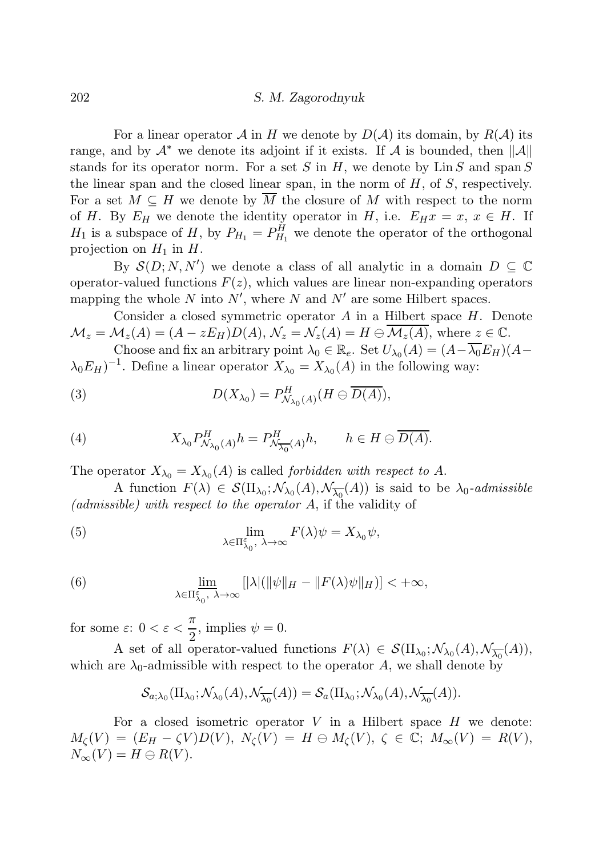For a linear operator A in H we denote by  $D(\mathcal{A})$  its domain, by  $R(\mathcal{A})$  its range, and by  $\mathcal{A}^*$  we denote its adjoint if it exists. If  $\mathcal{A}$  is bounded, then  $\|\mathcal{A}\|$ stands for its operator norm. For a set S in H, we denote by  $\text{Lin }S$  and span S the linear span and the closed linear span, in the norm of  $H$ , of  $S$ , respectively. For a set  $M \subseteq H$  we denote by M the closure of M with respect to the norm of H. By  $E_H$  we denote the identity operator in H, i.e.  $E_H x = x, x \in H$ . If  $H_1$  is a subspace of H, by  $P_{H_1} = P_{H_1}^H$  we denote the operator of the orthogonal projection on  $H_1$  in  $H$ .

By  $\mathcal{S}(D;N,N')$  we denote a class of all analytic in a domain  $D \subseteq \mathbb{C}$ operator-valued functions  $F(z)$ , which values are linear non-expanding operators mapping the whole N into  $N'$ , where N and N' are some Hilbert spaces.

Consider a closed symmetric operator  $A$  in a Hilbert space  $H$ . Denote  $\mathcal{M}_z = \mathcal{M}_z(A) = (A - zE_H)D(A), \, \mathcal{N}_z = \mathcal{N}_z(A) = H \ominus \mathcal{M}_z(A),$  where  $z \in \mathbb{C}.$ 

Choose and fix an arbitrary point  $\lambda_0 \in \mathbb{R}_e$ . Set  $U_{\lambda_0}(A) = (A - \overline{\lambda_0} E_H)(A \lambda_0 E_H$ <sup>-1</sup>. Define a linear operator  $X_{\lambda_0} = X_{\lambda_0}(A)$  in the following way:

(3) 
$$
D(X_{\lambda_0}) = P_{\mathcal{N}_{\lambda_0}(A)}^H(H \ominus \overline{D(A)}),
$$

(4) 
$$
X_{\lambda_0} P_{\mathcal{N}_{\lambda_0}(A)}^H h = P_{\mathcal{N}_{\overline{\lambda_0}}(A)}^H h, \qquad h \in H \ominus \overline{D(A)}.
$$

The operator  $X_{\lambda_0} = X_{\lambda_0}(A)$  is called *forbidden with respect to A*.

A function  $F(\lambda) \in \mathcal{S}(\Pi_{\lambda_0}; \mathcal{N}_{\lambda_0}(A), \mathcal{N}_{\overline{\lambda_0}}(A))$  is said to be  $\lambda_0$ -admissible (admissible) with respect to the operator A, if the validity of

(5) 
$$
\lim_{\lambda \in \Pi_{\lambda_0}^{\varepsilon}, \lambda \to \infty} F(\lambda) \psi = X_{\lambda_0} \psi,
$$

(6) 
$$
\lim_{\lambda \in \Pi_{\lambda_0}^{\varepsilon}, \lambda \to \infty} [|\lambda| (\|\psi\|_{H} - \|F(\lambda)\psi\|_{H})] < +\infty,
$$

for some  $\varepsilon: 0 < \varepsilon < \frac{\pi}{2}$  $\frac{\pi}{2}$ , implies  $\psi = 0$ .

A set of all operator-valued functions  $F(\lambda) \in \mathcal{S}(\Pi_{\lambda_0}; \mathcal{N}_{\lambda_0}(A), \mathcal{N}_{\overline{\lambda_0}}(A)),$ which are  $\lambda_0$ -admissible with respect to the operator A, we shall denote by

$$
\mathcal{S}_{a;\lambda_0}(\Pi_{\lambda_0};\mathcal{N}_{\lambda_0}(A),\mathcal{N}_{\overline{\lambda_0}}(A)) = \mathcal{S}_a(\Pi_{\lambda_0};\mathcal{N}_{\lambda_0}(A),\mathcal{N}_{\overline{\lambda_0}}(A)).
$$

For a closed isometric operator  $V$  in a Hilbert space  $H$  we denote:  $M_{\mathcal{C}}(V) = (E_H - \zeta V)D(V), N_{\mathcal{C}}(V) = H \ominus M_{\mathcal{C}}(V), \zeta \in \mathbb{C}; M_{\infty}(V) = R(V),$  $N_{\infty}(V) = H \ominus R(V).$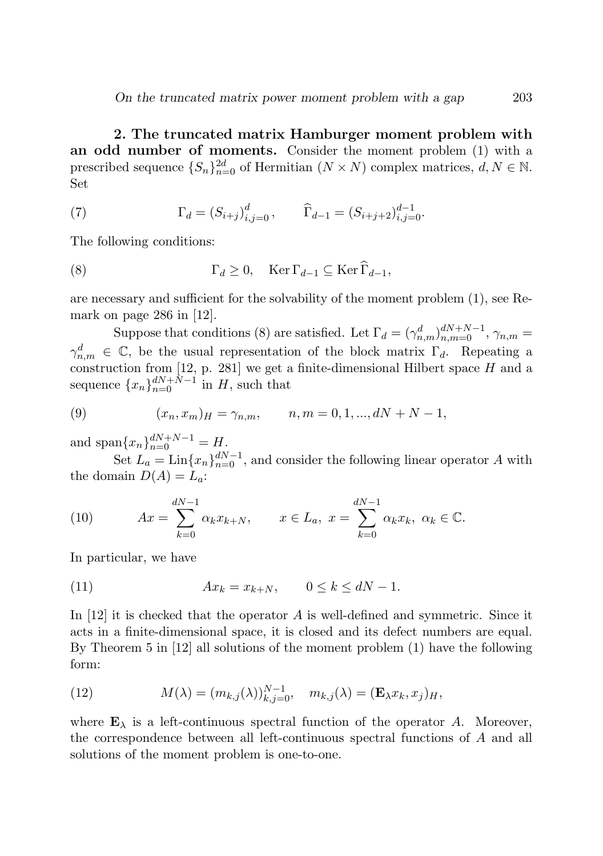2. The truncated matrix Hamburger moment problem with an odd number of moments. Consider the moment problem (1) with a prescribed sequence  $\{S_n\}_{n=0}^{2d}$  of Hermitian  $(N \times N)$  complex matrices,  $d, N \in \mathbb{N}$ . Set

(7) 
$$
\Gamma_d = (S_{i+j})_{i,j=0}^d, \qquad \widehat{\Gamma}_{d-1} = (S_{i+j+2})_{i,j=0}^{d-1}.
$$

The following conditions:

(8) 
$$
\Gamma_d \geq 0, \quad \text{Ker}\,\Gamma_{d-1} \subseteq \text{Ker}\,\widehat{\Gamma}_{d-1},
$$

are necessary and sufficient for the solvability of the moment problem (1), see Remark on page 286 in [12].

Suppose that conditions (8) are satisfied. Let  $\Gamma_d = (\gamma_{n,m}^d)_{n,m=0}^{dN+N-1}$ ,  $\gamma_{n,m} =$  $\gamma_{n,m}^d \in \mathbb{C}$ , be the usual representation of the block matrix  $\Gamma_d$ . Repeating a construction from  $[12, p. 281]$  we get a finite-dimensional Hilbert space H and a sequence  ${x_n}_{n=0}^{dN+N-1}$  in H, such that

(9) 
$$
(x_n, x_m)_H = \gamma_{n,m}, \qquad n, m = 0, 1, ..., dN + N - 1,
$$

and span ${x_n}_{n=0}^{dN+N-1} = H$ .

Set  $L_a = \text{Lin}\{x_n\}_{n=0}^{dN-1}$ , and consider the following linear operator A with the domain  $D(A) = L_a$ :

(10) 
$$
Ax = \sum_{k=0}^{dN-1} \alpha_k x_{k+N}, \qquad x \in L_a, \ x = \sum_{k=0}^{dN-1} \alpha_k x_k, \ \alpha_k \in \mathbb{C}.
$$

In particular, we have

$$
(11) \t\t Ax_k = x_{k+N}, \t 0 \le k \le dN - 1.
$$

In  $[12]$  it is checked that the operator A is well-defined and symmetric. Since it acts in a finite-dimensional space, it is closed and its defect numbers are equal. By Theorem 5 in [12] all solutions of the moment problem (1) have the following form:

(12) 
$$
M(\lambda) = (m_{k,j}(\lambda))_{k,j=0}^{N-1}, \quad m_{k,j}(\lambda) = (\mathbf{E}_{\lambda} x_k, x_j)_H,
$$

where  $\mathbf{E}_{\lambda}$  is a left-continuous spectral function of the operator A. Moreover, the correspondence between all left-continuous spectral functions of A and all solutions of the moment problem is one-to-one.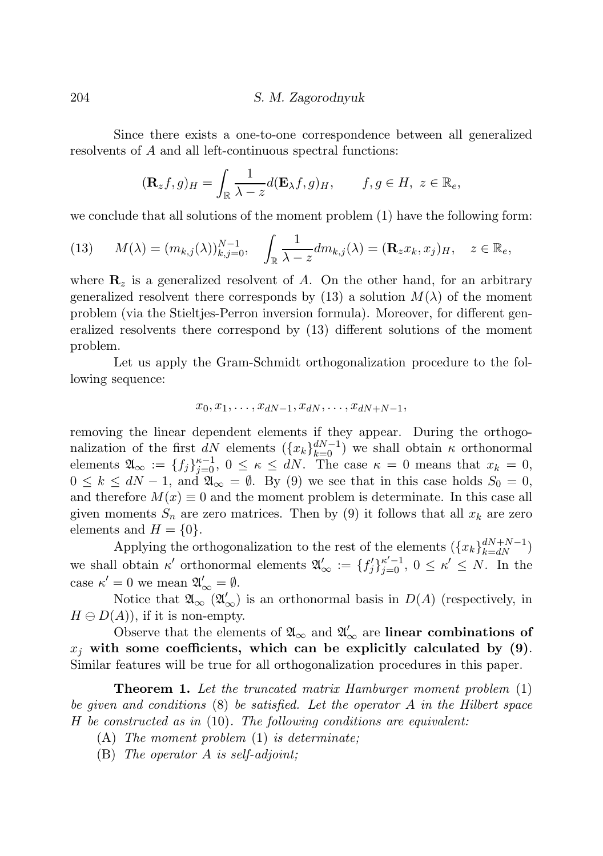Since there exists a one-to-one correspondence between all generalized resolvents of A and all left-continuous spectral functions:

$$
(\mathbf{R}_z f, g)_H = \int_{\mathbb{R}} \frac{1}{\lambda - z} d(\mathbf{E}_\lambda f, g)_H, \qquad f, g \in H, \ z \in \mathbb{R}_e,
$$

we conclude that all solutions of the moment problem (1) have the following form:

(13) 
$$
M(\lambda) = (m_{k,j}(\lambda))_{k,j=0}^{N-1}, \quad \int_{\mathbb{R}} \frac{1}{\lambda - z} dm_{k,j}(\lambda) = (\mathbf{R}_z x_k, x_j)_H, \quad z \in \mathbb{R}_e,
$$

where  $\mathbf{R}_z$  is a generalized resolvent of A. On the other hand, for an arbitrary generalized resolvent there corresponds by (13) a solution  $M(\lambda)$  of the moment problem (via the Stieltjes-Perron inversion formula). Moreover, for different generalized resolvents there correspond by (13) different solutions of the moment problem.

Let us apply the Gram-Schmidt orthogonalization procedure to the following sequence:

$$
x_0,x_1,\ldots,x_{dN-1},x_{dN},\ldots,x_{dN+N-1},
$$

removing the linear dependent elements if they appear. During the orthogonalization of the first  $dN$  elements  $({x_k}_{k=0}^{dN-1})$  we shall obtain  $\kappa$  orthonormal elements  $\mathfrak{A}_{\infty} := \{f_j\}_{j=0}^{\kappa-1}, 0 \leq \kappa \leq dN$ . The case  $\kappa = 0$  means that  $x_k = 0$ ,  $0 \leq k \leq dN-1$ , and  $\mathfrak{A}_{\infty} = \emptyset$ . By (9) we see that in this case holds  $S_0 = 0$ , and therefore  $M(x) \equiv 0$  and the moment problem is determinate. In this case all given moments  $S_n$  are zero matrices. Then by (9) it follows that all  $x_k$  are zero elements and  $H = \{0\}.$ 

Applying the orthogonalization to the rest of the elements  $({x_k}_{k= dN}^{dN+N-1})$ we shall obtain  $\kappa'$  orthonormal elements  $\mathfrak{A}'_{\infty} := \{f'_j\}_{j=0}^{\kappa'-1}, 0 \leq \kappa' \leq N$ . In the case  $\kappa' = 0$  we mean  $\mathfrak{A}'_{\infty} = \emptyset$ .

Notice that  $\mathfrak{A}_{\infty}(\mathfrak{A}'_{\infty})$  is an orthonormal basis in  $D(A)$  (respectively, in  $H \ominus D(A)$ , if it is non-empty.

Observe that the elements of  $\mathfrak{A}_{\infty}$  and  $\mathfrak{A}'_{\infty}$  are **linear combinations of**  $x_i$  with some coefficients, which can be explicitly calculated by (9). Similar features will be true for all orthogonalization procedures in this paper.

Theorem 1. Let the truncated matrix Hamburger moment problem (1) be given and conditions (8) be satisfied. Let the operator A in the Hilbert space H be constructed as in (10). The following conditions are equivalent:

- (A) The moment problem (1) is determinate;
- (B) The operator A is self-adjoint;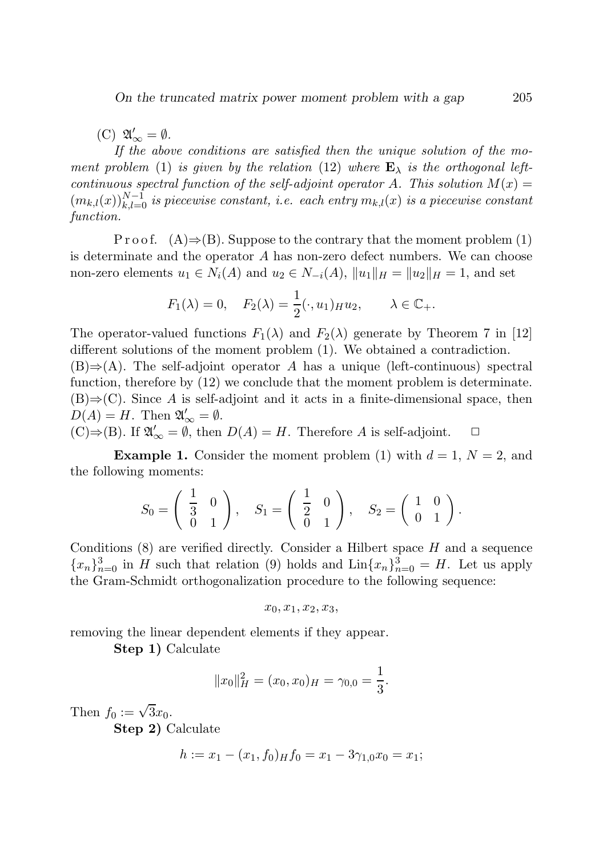(C)  $\mathfrak{A}'_{\infty} = \emptyset$ .

If the above conditions are satisfied then the unique solution of the moment problem (1) is given by the relation (12) where  $\mathbf{E}_{\lambda}$  is the orthogonal leftcontinuous spectral function of the self-adjoint operator A. This solution  $M(x) =$  $(m_{k,l}(x))_{k,l=0}^{N-1}$  is piecewise constant, i.e. each entry  $m_{k,l}(x)$  is a piecewise constant function.

P r o o f.  $(A) \Rightarrow (B)$ . Suppose to the contrary that the moment problem (1) is determinate and the operator A has non-zero defect numbers. We can choose non-zero elements  $u_1 \in N_i(A)$  and  $u_2 \in N_{-i}(A)$ ,  $||u_1||_H = ||u_2||_H = 1$ , and set

$$
F_1(\lambda) = 0
$$
,  $F_2(\lambda) = \frac{1}{2}(\cdot, u_1)_{H} u_2$ ,  $\lambda \in \mathbb{C}_+$ .

The operator-valued functions  $F_1(\lambda)$  and  $F_2(\lambda)$  generate by Theorem 7 in [12] different solutions of the moment problem (1). We obtained a contradiction.  $(B) \Rightarrow (A)$ . The self-adjoint operator A has a unique (left-continuous) spectral function, therefore by (12) we conclude that the moment problem is determinate.  $(B) \Rightarrow (C)$ . Since A is self-adjoint and it acts in a finite-dimensional space, then  $D(A) = H$ . Then  $\mathfrak{A}'_{\infty} = \emptyset$ .

 $(C) \Rightarrow (B)$ . If  $\mathfrak{A}'_{\infty} = \emptyset$ , then  $D(A) = H$ . Therefore A is self-adjoint.  $□$ 

**Example 1.** Consider the moment problem (1) with  $d = 1$ ,  $N = 2$ , and the following moments:

$$
S_0 = \begin{pmatrix} \frac{1}{3} & 0 \\ 0 & 1 \end{pmatrix}, \quad S_1 = \begin{pmatrix} \frac{1}{2} & 0 \\ 0 & 1 \end{pmatrix}, \quad S_2 = \begin{pmatrix} 1 & 0 \\ 0 & 1 \end{pmatrix}.
$$

Conditions  $(8)$  are verified directly. Consider a Hilbert space H and a sequence  ${x_n}_{n=0}^3$  in H such that relation (9) holds and  $\text{Lin}\{x_n\}_{n=0}^3 = H$ . Let us apply the Gram-Schmidt orthogonalization procedure to the following sequence:

$$
x_0, x_1, x_2, x_3,
$$

removing the linear dependent elements if they appear.

Step 1) Calculate

$$
||x_0||_H^2 = (x_0, x_0)_H = \gamma_{0,0} = \frac{1}{3}.
$$

Then  $f_0 := \sqrt{3}x_0$ .

Step 2) Calculate

$$
h := x_1 - (x_1, f_0) \cdot H_0 = x_1 - 3\gamma_{1,0} x_0 = x_1;
$$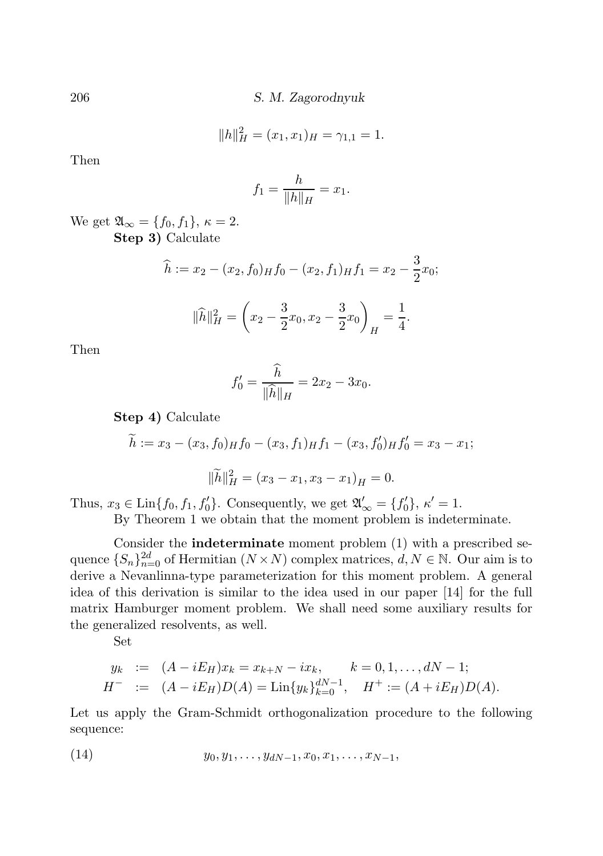$$
||h||_H^2 = (x_1, x_1)_H = \gamma_{1,1} = 1.
$$

Then

$$
f_1 = \frac{h}{\|h\|_H} = x_1.
$$

We get  $\mathfrak{A}_{\infty} = \{f_0, f_1\}, \kappa = 2.$ Step 3) Calculate

$$
\widehat{h} := x_2 - (x_2, f_0) \cdot h f_0 - (x_2, f_1) \cdot h f_1 = x_2 - \frac{3}{2} x_0;
$$

$$
\|\widehat{h}\|_{H}^{2} = \left(x_2 - \frac{3}{2}x_0, x_2 - \frac{3}{2}x_0\right)_{H} = \frac{1}{4}.
$$

Then

$$
f_0' = \frac{\widehat{h}}{\|\widehat{h}\|_H} = 2x_2 - 3x_0.
$$

Step 4) Calculate

$$
\widetilde{h} := x_3 - (x_3, f_0) \underset{H}{H} f_0 - (x_3, f_1) \underset{H}{H} f_1 - (x_3, f'_0) \underset{H}{H} f'_0 = x_3 - x_1;
$$
\n
$$
\|\widetilde{h}\|_H^2 = (x_3 - x_1, x_3 - x_1) \underset{H}{H} = 0.
$$

Thus,  $x_3 \in \text{Lin}\lbrace f_0, f_1, f'_0 \rbrace$ . Consequently, we get  $\mathfrak{A}'_{\infty} = \lbrace f'_0 \rbrace$ ,  $\kappa' = 1$ .

By Theorem 1 we obtain that the moment problem is indeterminate.

Consider the indeterminate moment problem (1) with a prescribed sequence  ${S_n}_{n=0}^{2d}$  of Hermitian  $(N \times N)$  complex matrices,  $d, N \in \mathbb{N}$ . Our aim is to derive a Nevanlinna-type parameterization for this moment problem. A general idea of this derivation is similar to the idea used in our paper [14] for the full matrix Hamburger moment problem. We shall need some auxiliary results for the generalized resolvents, as well.

Set

$$
y_k := (A - iE_H)x_k = x_{k+N} - ix_k, \qquad k = 0, 1, ..., dN - 1;
$$
  

$$
H^- := (A - iE_H)D(A) = \text{Lin}\{y_k\}_{k=0}^{dN-1}, \qquad H^+ := (A + iE_H)D(A).
$$

Let us apply the Gram-Schmidt orthogonalization procedure to the following sequence:

(14) 
$$
y_0, y_1, \ldots, y_{dN-1}, x_0, x_1, \ldots, x_{N-1},
$$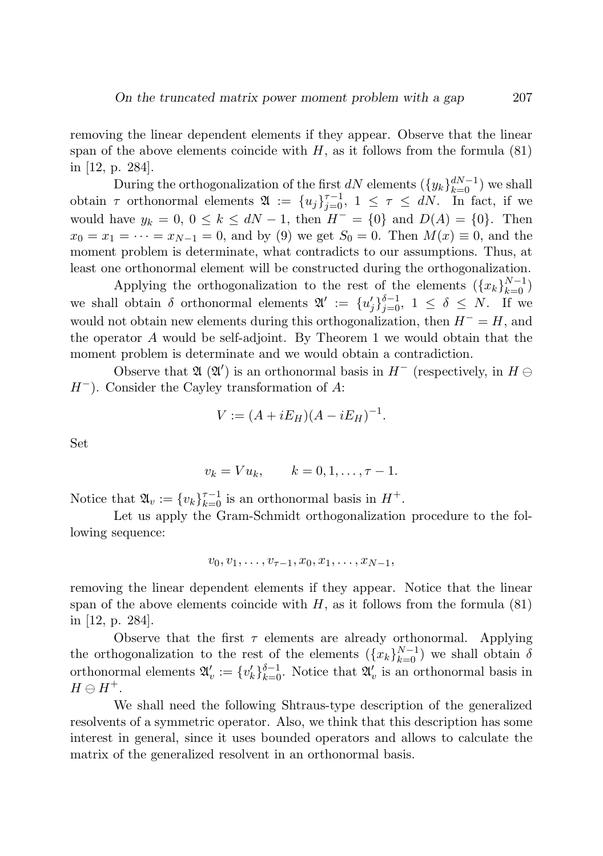removing the linear dependent elements if they appear. Observe that the linear span of the above elements coincide with  $H$ , as it follows from the formula (81) in [12, p. 284].

During the orthogonalization of the first  $dN$  elements  $({y_k}_{k=0}^{dN-1})$  we shall obtain  $\tau$  orthonormal elements  $\mathfrak{A} := \{u_j\}_{j=0}^{\tau-1}, 1 \leq \tau \leq dN$ . In fact, if we would have  $y_k = 0, 0 \le k \le dN - 1$ , then  $H^- = \{0\}$  and  $D(A) = \{0\}$ . Then  $x_0 = x_1 = \cdots = x_{N-1} = 0$ , and by (9) we get  $S_0 = 0$ . Then  $M(x) \equiv 0$ , and the moment problem is determinate, what contradicts to our assumptions. Thus, at least one orthonormal element will be constructed during the orthogonalization.

Applying the orthogonalization to the rest of the elements  $({x_k}_{k=0}^{N-1})$ we shall obtain  $\delta$  orthonormal elements  $\mathfrak{A}' := \{u'_j\}_{j=0}^{\delta-1}, 1 \leq \delta \leq N$ . If we would not obtain new elements during this orthogonalization, then  $H^- = H$ , and the operator A would be self-adjoint. By Theorem 1 we would obtain that the moment problem is determinate and we would obtain a contradiction.

Observe that  $\mathfrak{A}$  ( $\mathfrak{A}'$ ) is an orthonormal basis in  $H^-$  (respectively, in  $H \ominus$  $H^-$ ). Consider the Cayley transformation of A:

$$
V := (A + iE_H)(A - iE_H)^{-1}.
$$

Set

$$
v_k = Vu_k, \qquad k=0,1,\ldots,\tau-1.
$$

Notice that  $\mathfrak{A}_v := \{v_k\}_{k=0}^{\tau-1}$  is an orthonormal basis in  $H^+$ .

Let us apply the Gram-Schmidt orthogonalization procedure to the following sequence:

$$
v_0, v_1, \ldots, v_{\tau-1}, x_0, x_1, \ldots, x_{N-1},
$$

removing the linear dependent elements if they appear. Notice that the linear span of the above elements coincide with  $H$ , as it follows from the formula (81) in [12, p. 284].

Observe that the first  $\tau$  elements are already orthonormal. Applying the orthogonalization to the rest of the elements  $({x_k}_{k=0}^{N-1})$  we shall obtain  $\delta$ orthonormal elements  $\mathfrak{A}'_v := \{v'_k\}_{k=0}^{\delta-1}$ . Notice that  $\mathfrak{A}'_v$  is an orthonormal basis in  $H \ominus H^+$ .

We shall need the following Shtraus-type description of the generalized resolvents of a symmetric operator. Also, we think that this description has some interest in general, since it uses bounded operators and allows to calculate the matrix of the generalized resolvent in an orthonormal basis.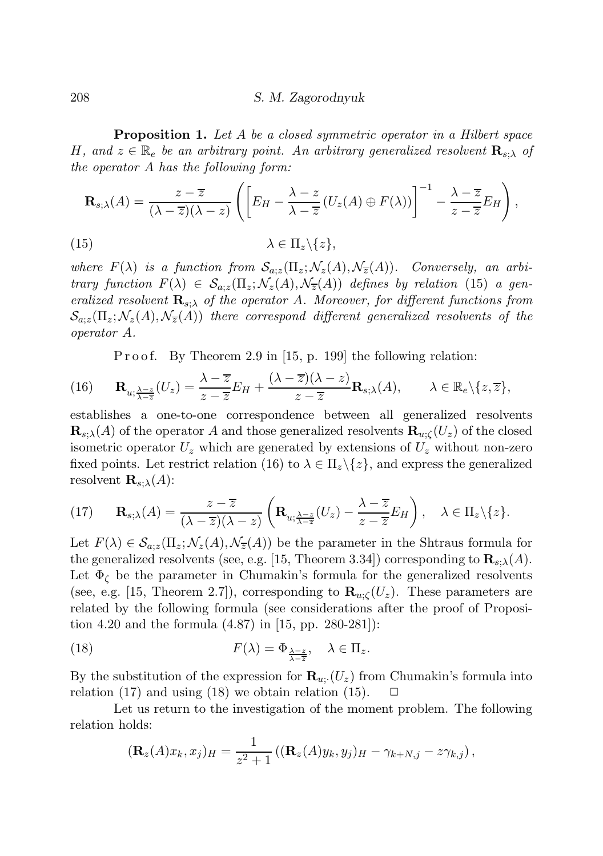Proposition 1. Let A be a closed symmetric operator in a Hilbert space H, and  $z \in \mathbb{R}_e$  be an arbitrary point. An arbitrary generalized resolvent  $\mathbf{R}_{s:\lambda}$  of the operator A has the following form:

$$
\mathbf{R}_{s;\lambda}(A) = \frac{z - \overline{z}}{(\lambda - \overline{z})(\lambda - z)} \left( \left[ E_H - \frac{\lambda - z}{\lambda - \overline{z}} \left( U_z(A) \oplus F(\lambda) \right) \right]^{-1} - \frac{\lambda - \overline{z}}{z - \overline{z}} E_H \right),\tag{15}
$$
\n
$$
\lambda \in \Pi_z \setminus \{ z \},
$$

where  $F(\lambda)$  is a function from  $S_{a;z}(\Pi_z; \mathcal{N}_z(A), \mathcal{N}_z(A))$ . Conversely, an arbitrary function  $F(\lambda) \in \mathcal{S}_{a,z}(\Pi_z; \mathcal{N}_z(A), \mathcal{N}_{\overline{z}}(A))$  defines by relation (15) a generalized resolvent  $\mathbf{R}_{s:\lambda}$  of the operator A. Moreover, for different functions from  $\mathcal{S}_{a,z}(\Pi_z;\mathcal{N}_z(A),\mathcal{N}_{\overline{z}}(A))$  there correspond different generalized resolvents of the operator A.

P r o o f. By Theorem 2.9 in [15, p. 199] the following relation:

(16) 
$$
\mathbf{R}_{u;\frac{\lambda-z}{\lambda-\overline{z}}}(U_z) = \frac{\lambda-\overline{z}}{z-\overline{z}}E_H + \frac{(\lambda-\overline{z})(\lambda-z)}{z-\overline{z}}\mathbf{R}_{s;\lambda}(A), \qquad \lambda \in \mathbb{R}_e\backslash\{z,\overline{z}\},
$$

establishes a one-to-one correspondence between all generalized resolvents  $\mathbf{R}_{s:\lambda}(A)$  of the operator A and those generalized resolvents  $\mathbf{R}_{u:\zeta}(U_z)$  of the closed isometric operator  $U_z$  which are generated by extensions of  $U_z$  without non-zero fixed points. Let restrict relation (16) to  $\lambda \in \Pi_z \backslash \{z\}$ , and express the generalized resolvent  $\mathbf{R}_{s:\lambda}(A)$ :

(17) 
$$
\mathbf{R}_{s;\lambda}(A) = \frac{z-\overline{z}}{(\lambda-\overline{z})(\lambda-z)} \left( \mathbf{R}_{u;\frac{\lambda-z}{\lambda-\overline{z}}}(U_z) - \frac{\lambda-\overline{z}}{z-\overline{z}} E_H \right), \quad \lambda \in \Pi_z \setminus \{z\}.
$$

Let  $F(\lambda) \in \mathcal{S}_{a,z}(\Pi_z; \mathcal{N}_z(A), \mathcal{N}_{\overline{z}}(A))$  be the parameter in the Shtraus formula for the generalized resolvents (see, e.g. [15, Theorem 3.34]) corresponding to  $\mathbf{R}_{s,\lambda}(A)$ . Let  $\Phi_{\zeta}$  be the parameter in Chumakin's formula for the generalized resolvents (see, e.g. [15, Theorem 2.7]), corresponding to  $\mathbf{R}_{u,c}(U_z)$ . These parameters are related by the following formula (see considerations after the proof of Proposition 4.20 and the formula (4.87) in [15, pp. 280-281]):

(18) 
$$
F(\lambda) = \Phi_{\frac{\lambda - z}{\lambda - \overline{z}}}, \quad \lambda \in \Pi_z.
$$

By the substitution of the expression for  $\mathbf{R}_{u}$  (U<sub>z</sub>) from Chumakin's formula into relation (17) and using (18) we obtain relation (15).  $\Box$ 

Let us return to the investigation of the moment problem. The following relation holds:

$$
(\mathbf{R}_z(A)x_k,x_j)_H = \frac{1}{z^2+1} \left( (\mathbf{R}_z(A)y_k,y_j)_H - \gamma_{k+N,j} - z\gamma_{k,j} \right),
$$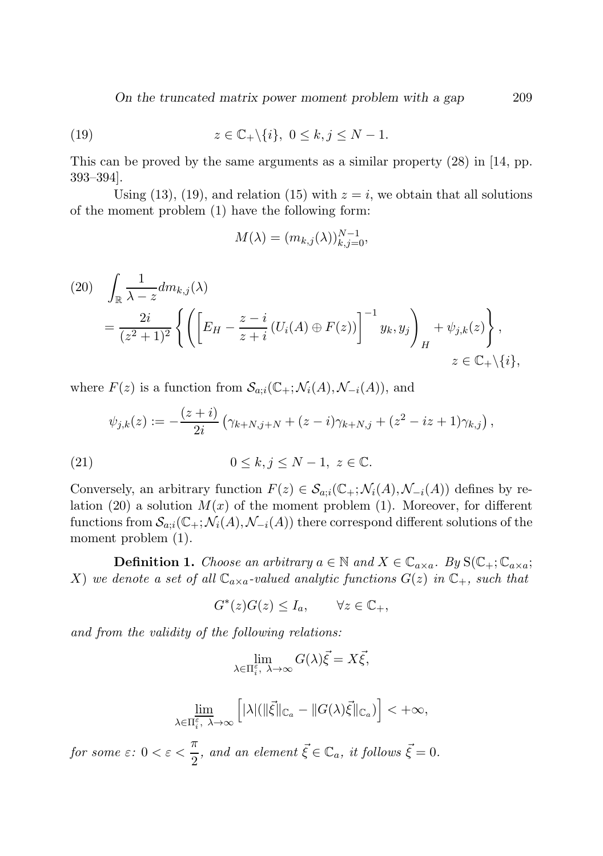*On the truncated matrix power moment problem with a gap* 209

(19) 
$$
z \in \mathbb{C}_+ \backslash \{i\}, \ 0 \le k, j \le N - 1.
$$

This can be proved by the same arguments as a similar property (28) in [14, pp. 393–394].

Using (13), (19), and relation (15) with  $z = i$ , we obtain that all solutions of the moment problem (1) have the following form:

$$
M(\lambda) = (m_{k,j}(\lambda))_{k,j=0}^{N-1},
$$

$$
(20) \quad \int_{\mathbb{R}} \frac{1}{\lambda - z} dm_{k,j}(\lambda)
$$
  
= 
$$
\frac{2i}{(z^2 + 1)^2} \left\{ \left( \left[ E_H - \frac{z - i}{z + i} (U_i(A) \oplus F(z)) \right]^{-1} y_k, y_j \right)_H + \psi_{j,k}(z) \right\},
$$
  

$$
z \in \mathbb{C}_+ \setminus \{i\},
$$

where  $F(z)$  is a function from  $\mathcal{S}_{a;i}(\mathbb{C}_+;\mathcal{N}_i(A),\mathcal{N}_{-i}(A)),$  and

$$
\psi_{j,k}(z) := -\frac{(z+i)}{2i} \left( \gamma_{k+N,j+N} + (z-i) \gamma_{k+N,j} + (z^2 - iz + 1) \gamma_{k,j} \right),
$$

(21) 
$$
0 \le k, j \le N-1, z \in \mathbb{C}.
$$

Conversely, an arbitrary function  $F(z) \in \mathcal{S}_{a,i}(\mathbb{C}_+;\mathcal{N}_i(A),\mathcal{N}_{-i}(A))$  defines by relation (20) a solution  $M(x)$  of the moment problem (1). Moreover, for different functions from  $\mathcal{S}_{a;i}(\mathbb{C}_+;\mathcal{N}_i(A),\mathcal{N}_{-i}(A))$  there correspond different solutions of the moment problem (1).

**Definition 1.** Choose an arbitrary  $a \in \mathbb{N}$  and  $X \in \mathbb{C}_{a \times a}$ . By  $S(\mathbb{C}_{+}; \mathbb{C}_{a \times a})$ ; X) we denote a set of all  $\mathbb{C}_{a \times a}$ -valued analytic functions  $G(z)$  in  $\mathbb{C}_+$ , such that

$$
G^*(z)G(z)\leq I_a, \qquad \forall z\in \mathbb{C}_+,
$$

and from the validity of the following relations:

$$
\lim_{\lambda \in \Pi_i^{\varepsilon}, \ \lambda \to \infty} G(\lambda) \vec{\xi} = X \vec{\xi},
$$

$$
\varliminf_{\lambda\in\Pi_i^\varepsilon,\ \lambda\to\infty}\Big[|\lambda|(\|\vec{\xi}\|_{{\mathbb C}_a}-\|G(\lambda)\vec{\xi}\|_{{\mathbb C}_a})\Big]<+\infty,
$$

for some  $\varepsilon: 0 < \varepsilon < \frac{\pi}{2}$  $\frac{\pi}{2}$ , and an element  $\vec{\xi} \in \mathbb{C}_a$ , it follows  $\vec{\xi} = 0$ .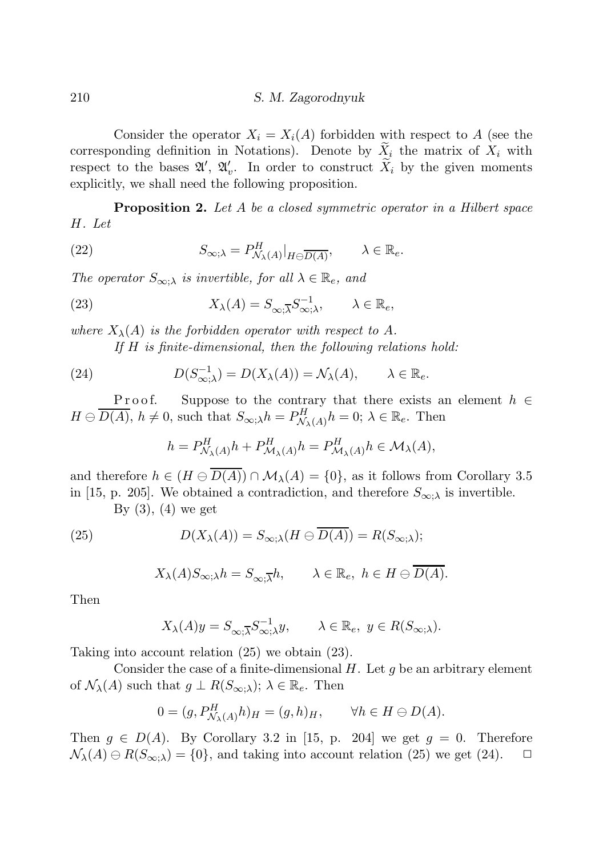Consider the operator  $X_i = X_i(A)$  forbidden with respect to A (see the corresponding definition in Notations). Denote by  $\tilde{X}_i$  the matrix of  $X_i$  with respect to the bases  $\mathfrak{A}', \mathfrak{A}'_v$ . In order to construct  $\widetilde{X}_i$  by the given moments explicitly, we shall need the following proposition.

**Proposition 2.** Let A be a closed symmetric operator in a Hilbert space H. Let

(22) 
$$
S_{\infty;\lambda} = P_{\mathcal{N}_{\lambda}(A)}^H|_{H \ominus \overline{D(A)}}, \qquad \lambda \in \mathbb{R}_e.
$$

The operator  $S_{\infty,\lambda}$  is invertible, for all  $\lambda \in \mathbb{R}_e$ , and

(23) 
$$
X_{\lambda}(A) = S_{\infty, \overline{\lambda}} S_{\infty, \lambda}^{-1}, \qquad \lambda \in \mathbb{R}_{e},
$$

where  $X_{\lambda}(A)$  is the forbidden operator with respect to A. If  $H$  is finite-dimensional, then the following relations hold:

(24) 
$$
D(S_{\infty;\lambda}^{-1}) = D(X_{\lambda}(A)) = \mathcal{N}_{\lambda}(A), \qquad \lambda \in \mathbb{R}_{e}.
$$

P r o o f. Suppose to the contrary that there exists an element  $h \in$  $H \ominus \overline{D(A)}$ ,  $h \neq 0$ , such that  $S_{\infty;\lambda}h = P_{\mathcal{N}_{\lambda}(A)}^{H}h = 0$ ;  $\lambda \in \mathbb{R}_{e}$ . Then

$$
h = P_{\mathcal{N}_{\lambda}(A)}^H h + P_{\mathcal{M}_{\lambda}(A)}^H h = P_{\mathcal{M}_{\lambda}(A)}^H h \in \mathcal{M}_{\lambda}(A),
$$

and therefore  $h \in (H \ominus \overline{D(A)}) \cap \mathcal{M}_{\lambda}(A) = \{0\}$ , as it follows from Corollary 3.5 in [15, p. 205]. We obtained a contradiction, and therefore  $S_{\infty;\lambda}$  is invertible.

By  $(3)$ ,  $(4)$  we get

(25) 
$$
D(X_{\lambda}(A)) = S_{\infty;\lambda}(H \ominus \overline{D(A)}) = R(S_{\infty;\lambda});
$$

$$
X_{\lambda}(A)S_{\infty;\lambda}h = S_{\infty;\overline{\lambda}}h, \qquad \lambda \in \mathbb{R}_e, \ h \in H \ominus \overline{D(A)}.
$$

Then

$$
X_{\lambda}(A)y = S_{\infty; \overline{\lambda}} S_{\infty; \lambda}^{-1} y, \qquad \lambda \in \mathbb{R}_{e}, \ y \in R(S_{\infty; \lambda}).
$$

Taking into account relation (25) we obtain (23).

Consider the case of a finite-dimensional  $H$ . Let  $g$  be an arbitrary element of  $\mathcal{N}_{\lambda}(A)$  such that  $g \perp R(S_{\infty,\lambda}); \lambda \in \mathbb{R}_e$ . Then

$$
0 = (g, P_{\mathcal{N}_{\lambda}(A)}^H h)_H = (g, h)_H, \qquad \forall h \in H \ominus D(A).
$$

Then  $g \in D(A)$ . By Corollary 3.2 in [15, p. 204] we get  $g = 0$ . Therefore  $\mathcal{N}_{\lambda}(A) \ominus R(S_{\infty,\lambda}) = \{0\}$ , and taking into account relation (25) we get (24).  $\Box$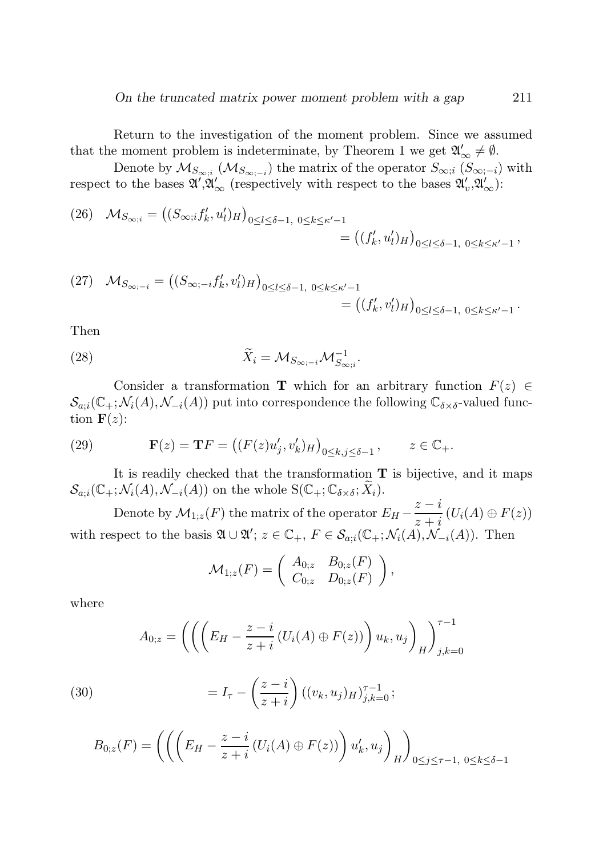# *On the truncated matrix power moment problem with a gap* 211

Return to the investigation of the moment problem. Since we assumed that the moment problem is indeterminate, by Theorem 1 we get  $\mathfrak{A}'_{\infty} \neq \emptyset$ .

Denote by  $\mathcal{M}_{S_{\infty;i}}(\mathcal{M}_{S_{\infty;-i}})$  the matrix of the operator  $S_{\infty;i}$   $(S_{\infty;-i})$  with respect to the bases  $\mathfrak{A}', \mathfrak{A}'_{\infty}$  (respectively with respect to the bases  $\mathfrak{A}'_v, \mathfrak{A}'_{\infty}$ ):

(26) 
$$
\mathcal{M}_{S_{\infty;i}} = ((S_{\infty;i}f'_k, u'_l)_H)_{0 \le l \le \delta - 1, 0 \le k \le \kappa' - 1} = ((f'_k, u'_l)_H)_{0 \le l \le \delta - 1, 0 \le k \le \kappa' - 1},
$$

(27) 
$$
\mathcal{M}_{S_{\infty;-i}} = ((S_{\infty;-i}f'_k, v'_l)_H)_{0 \le l \le \delta - 1, 0 \le k \le \kappa' - 1} = ((f'_k, v'_l)_H)_{0 \le l \le \delta - 1, 0 \le k \le \kappa' - 1}.
$$

Then

(28) 
$$
\widetilde{X}_i = \mathcal{M}_{S_{\infty; -i}} \mathcal{M}_{S_{\infty; i}}^{-1}.
$$

Consider a transformation T which for an arbitrary function  $F(z) \in$  $\mathcal{S}_{a;i}(\mathbb{C}_+;\mathcal{N}_i(A),\mathcal{N}_{-i}(A))$  put into correspondence the following  $\mathbb{C}_{\delta\times\delta}$ -valued function  $\mathbf{F}(z)$ :

(29) 
$$
\mathbf{F}(z) = \mathbf{T}F = ((F(z)u'_j, v'_k)_H)_{0 \le k, j \le \delta - 1}, \qquad z \in \mathbb{C}_+.
$$

It is readily checked that the transformation  $T$  is bijective, and it maps  $\mathcal{S}_{a;i}(\mathbb{C}_+;\mathcal{N}_i(A),\mathcal{N}_{-i}(A))$  on the whole  $S(\mathbb{C}_+;\mathbb{C}_{\delta\times\delta};\widetilde{X}_i)$ .

Denote by  $\mathcal{M}_{1,z}(F)$  the matrix of the operator  $E_H - \frac{z-i}{z+i}$  $\frac{\tilde{z}-\tilde{z}}{z+i}(U_i(A)\oplus F(z))$ with respect to the basis  $\mathfrak{A} \cup \mathfrak{A}'$ ;  $z \in \mathbb{C}_+$ ,  $F \in \mathcal{S}_{a;i}(\mathbb{C}_+; \mathcal{N}_i(A), \mathcal{N}_{-i}(A))$ . Then

$$
\mathcal{M}_{1;z}(F) = \begin{pmatrix} A_{0;z} & B_{0;z}(F) \\ C_{0;z} & D_{0;z}(F) \end{pmatrix},
$$

where

$$
A_{0;z} = \left( \left( \left( E_H - \frac{z - i}{z + i} \left( U_i(A) \oplus F(z) \right) \right) u_k, u_j \right)_{H} \right)_{j,k=0}^{\tau - 1}
$$

(30) 
$$
= I_{\tau} - \left(\frac{z-i}{z+i}\right) ((v_k, u_j)_{H})_{j,k=0}^{\tau-1};
$$

$$
B_{0,z}(F) = \left( \left( \left( E_H - \frac{z-i}{z+i} \left( U_i(A) \oplus F(z) \right) \right) u'_k, u_j \right)_H \right)_{0 \le j \le \tau-1, 0 \le k \le \delta-1}
$$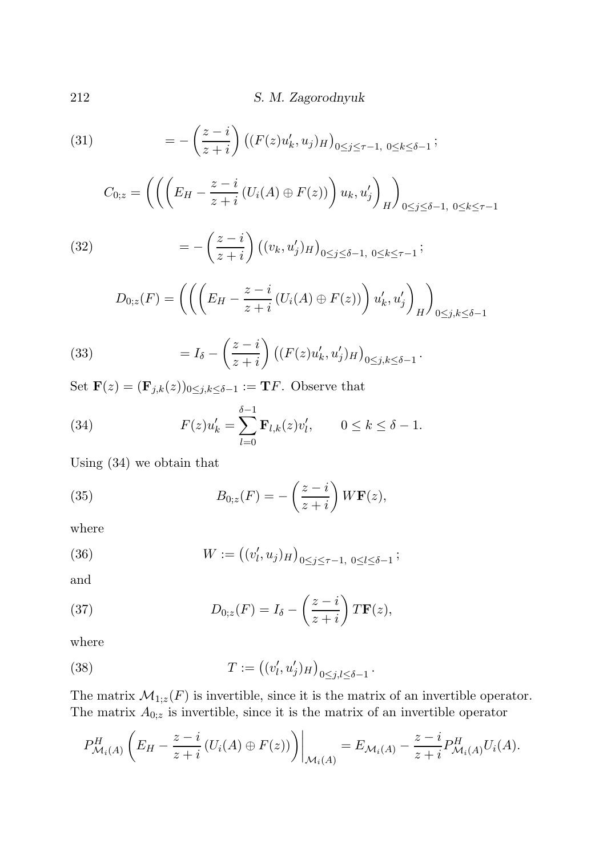(31) 
$$
= -\left(\frac{z-i}{z+i}\right) \left( (F(z)u'_k, u_j)_{H} \right)_{0 \le j \le \tau-1, 0 \le k \le \delta-1};
$$

$$
C_{0;z} = \left( \left( \left( E_H - \frac{z-i}{z+i} \left( U_i(A) \oplus F(z) \right) \right) u_k, u'_j \right)_H \right)_{0 \le j \le \delta - 1, 0 \le k \le \tau - 1}
$$

(32) 
$$
= -\left(\frac{z-i}{z+i}\right) \left( (v_k, u'_j)_H \right)_{0 \le j \le \delta - 1, 0 \le k \le \tau - 1};
$$

$$
D_{0;z}(F) = \left( \left( \left( E_H - \frac{z-i}{z+i} \left( U_i(A) \oplus F(z) \right) \right) u'_k, u'_j \right)_H \right)_{0 \le j,k \le \delta - 1}
$$

(33) 
$$
= I_{\delta} - \left(\frac{z-i}{z+i}\right) \left( (F(z)u'_{k}, u'_{j})_{H} \right)_{0 \leq j,k \leq \delta - 1}.
$$

Set  $\mathbf{F}(z) = (\mathbf{F}_{j,k}(z))_{0 \leq j,k \leq \delta-1} := \mathbf{T} F$ . Observe that

(34) 
$$
F(z)u'_{k} = \sum_{l=0}^{\delta-1} \mathbf{F}_{l,k}(z)v'_{l}, \qquad 0 \leq k \leq \delta - 1.
$$

Using (34) we obtain that

(35) 
$$
B_{0,z}(F) = -\left(\frac{z-i}{z+i}\right)W\mathbf{F}(z),
$$

where

(36) 
$$
W := ((v'_l, u_j)_H)_{0 \le j \le \tau - 1, 0 \le l \le \delta - 1};
$$

and

(37) 
$$
D_{0,z}(F) = I_{\delta} - \left(\frac{z-i}{z+i}\right)T\mathbf{F}(z),
$$

where

(38) 
$$
T := ((v'_l, u'_j)_H)_{0 \le j, l \le \delta - 1}.
$$

The matrix  $\mathcal{M}_{1,z}(F)$  is invertible, since it is the matrix of an invertible operator. The matrix  $A_{0,z}$  is invertible, since it is the matrix of an invertible operator

$$
P_{\mathcal{M}_i(A)}^H\left(E_H-\frac{z-i}{z+i}\left(U_i(A)\oplus F(z)\right)\right)\bigg|_{\mathcal{M}_i(A)}=E_{\mathcal{M}_i(A)}-\frac{z-i}{z+i}P_{\mathcal{M}_i(A)}^H U_i(A).
$$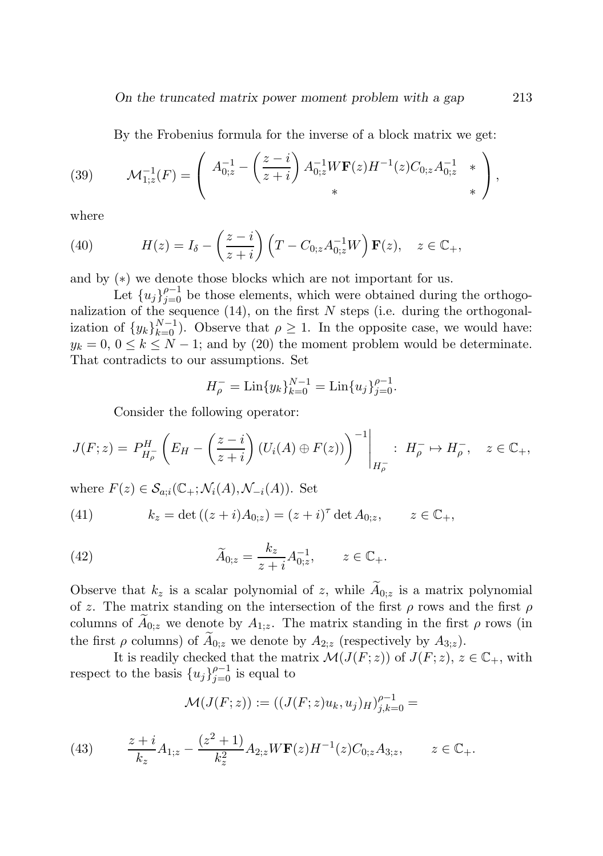*On the truncated matrix power moment problem with a gap* 213

By the Frobenius formula for the inverse of a block matrix we get:

(39) 
$$
\mathcal{M}_{1;z}^{-1}(F) = \left( \begin{array}{cc} A_{0;z}^{-1} - \left( \frac{z-i}{z+i} \right) A_{0;z}^{-1} W \mathbf{F}(z) H^{-1}(z) C_{0;z} A_{0;z}^{-1} & * \\ * & * \end{array} \right),
$$

where

(40) 
$$
H(z) = I_{\delta} - \left(\frac{z-i}{z+i}\right) \left(T - C_{0;z}A_{0;z}^{-1}W\right) \mathbf{F}(z), \quad z \in \mathbb{C}_{+},
$$

and by (∗) we denote those blocks which are not important for us.

Let  ${u_j}_{j=0}^{\rho-1}$  be those elements, which were obtained during the orthogonalization of the sequence  $(14)$ , on the first N steps (i.e. during the orthogonalization of  $\{y_k\}_{k=0}^{N-1}$ ). Observe that  $\rho \geq 1$ . In the opposite case, we would have:  $y_k = 0, 0 \le k \le N - 1$ ; and by (20) the moment problem would be determinate. That contradicts to our assumptions. Set

$$
H_{\rho}^- = \text{Lin}\{y_k\}_{k=0}^{N-1} = \text{Lin}\{u_j\}_{j=0}^{\rho-1}.
$$

Consider the following operator:

$$
J(F;z) = P_{H_{\rho}}^{H} \left( E_H - \left( \frac{z - i}{z + i} \right) (U_i(A) \oplus F(z)) \right)^{-1} \Bigg|_{H_{\rho}^{-}} : H_{\rho}^{-} \mapsto H_{\rho}^{-}, \quad z \in \mathbb{C}_{+},
$$

where  $F(z) \in \mathcal{S}_{a;i}(\mathbb{C}_+;\mathcal{N}_i(A),\mathcal{N}_{-i}(A)).$  Set

(41) 
$$
k_z = \det ((z+i)A_{0;z}) = (z+i)^{\tau} \det A_{0;z}, \qquad z \in \mathbb{C}_+,
$$

(42) 
$$
\widetilde{A}_{0;z} = \frac{k_z}{z+i} A_{0;z}^{-1}, \qquad z \in \mathbb{C}_+.
$$

Observe that  $k_z$  is a scalar polynomial of z, while  $\widetilde{A}_{0,z}$  is a matrix polynomial of z. The matrix standing on the intersection of the first  $\rho$  rows and the first  $\rho$ columns of  $A_{0;z}$  we denote by  $A_{1;z}$ . The matrix standing in the first  $\rho$  rows (in the first  $\rho$  columns) of  $A_{0,z}$  we denote by  $A_{2,z}$  (respectively by  $A_{3,z}$ ).

It is readily checked that the matrix  $\mathcal{M}(J(F; z))$  of  $J(F; z)$ ,  $z \in \mathbb{C}_+$ , with respect to the basis  ${u_j}_{j=0}^{p-1}$  is equal to

$$
\mathcal{M}(J(F;z)):=\bigl((J(F;z)u_k,u_j)_H\bigr)_{j,k=0}^{\rho-1}=
$$

(43) 
$$
\frac{z+i}{k_z}A_{1;z} - \frac{(z^2+1)}{k_z^2}A_{2;z}W\mathbf{F}(z)H^{-1}(z)C_{0;z}A_{3;z}, \qquad z \in \mathbb{C}_+.
$$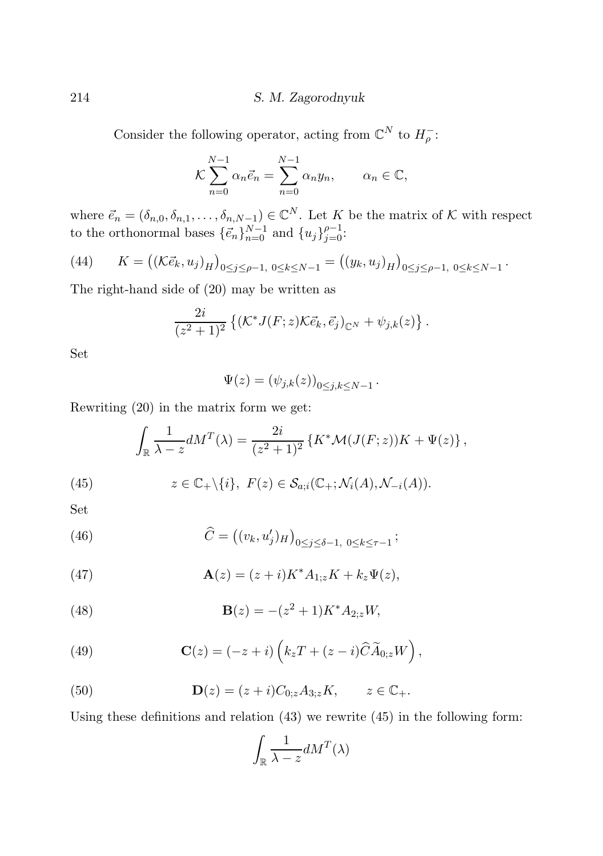Consider the following operator, acting from  $\mathbb{C}^N$  to  $H_{\rho}^-$ :

$$
\mathcal{K}\sum_{n=0}^{N-1} \alpha_n \vec{e}_n = \sum_{n=0}^{N-1} \alpha_n y_n, \qquad \alpha_n \in \mathbb{C},
$$

where  $\vec{e}_n = (\delta_{n,0}, \delta_{n,1}, \ldots, \delta_{n,N-1}) \in \mathbb{C}^N$ . Let K be the matrix of K with respect to the orthonormal bases  $\{\vec{e}_n\}_{n=0}^{N-1}$  and  $\{u_j\}_{j=0}^{\rho-1}$ .

(44) 
$$
K = ((\mathcal{K} \vec{e}_k, u_j)_H)_{0 \le j \le \rho-1, 0 \le k \le N-1} = ((y_k, u_j)_H)_{0 \le j \le \rho-1, 0 \le k \le N-1}.
$$

The right-hand side of (20) may be written as

$$
\frac{2i}{(z^2+1)^2} \left\{ \left( \mathcal{K}^* J(F;z) \mathcal{K} \vec{e}_k, \vec{e}_j \right)_{\mathbb{C}^N} + \psi_{j,k}(z) \right\}.
$$

Set

$$
\Psi(z) = \left(\psi_{j,k}(z)\right)_{0 \le j,k \le N-1}.
$$

Rewriting (20) in the matrix form we get:

$$
\int_{\mathbb{R}} \frac{1}{\lambda - z} dM^{T}(\lambda) = \frac{2i}{(z^{2} + 1)^{2}} \left\{ K^{*} \mathcal{M}(J(F; z)) K + \Psi(z) \right\},
$$

(45) 
$$
z \in \mathbb{C}_+ \setminus \{i\}, \ F(z) \in \mathcal{S}_{a;i}(\mathbb{C}_+; \mathcal{N}_i(A), \mathcal{N}_{-i}(A)).
$$

Set

(46) 
$$
\widehat{C} = ((v_k, u'_j)_H)_{0 \le j \le \delta - 1, 0 \le k \le \tau - 1};
$$

(47) 
$$
\mathbf{A}(z) = (z+i)K^*A_{1;z}K + k_z\Psi(z),
$$

(48) 
$$
\mathbf{B}(z) = -(z^2 + 1)K^*A_{2;z}W,
$$

(49) 
$$
\mathbf{C}(z) = (-z+i) \left( k_z T + (z-i) \widehat{C} \widetilde{A}_{0;z} W \right),
$$

(50) 
$$
\mathbf{D}(z) = (z+i)C_{0;z}A_{3;z}K, \qquad z \in \mathbb{C}_{+}.
$$

Using these definitions and relation (43) we rewrite (45) in the following form:

$$
\int_{\mathbb{R}} \frac{1}{\lambda - z} dM^T(\lambda)
$$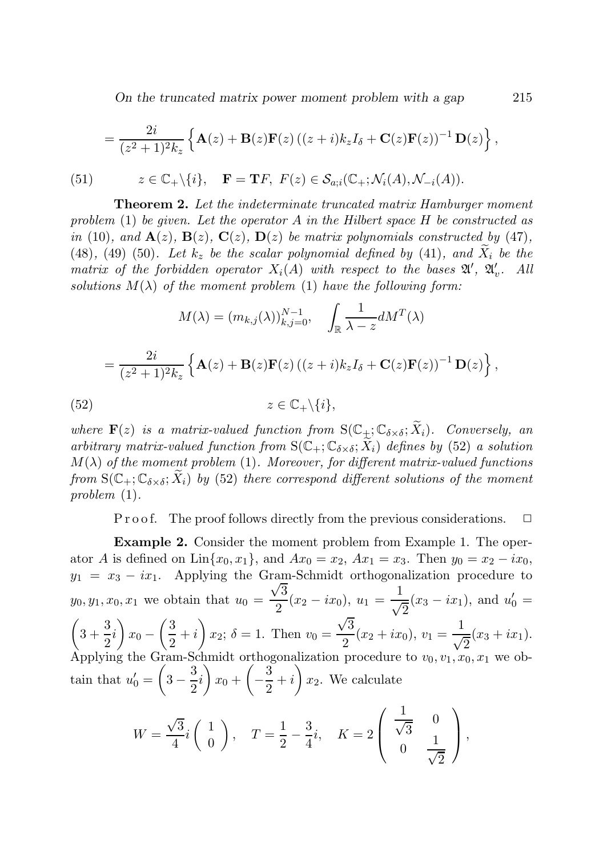*On the truncated matrix power moment problem with a gap* 215

$$
= \frac{2i}{(z^2+1)^2k_z} \left\{ \mathbf{A}(z) + \mathbf{B}(z)\mathbf{F}(z) \left( (z+i)k_zI_{\delta} + \mathbf{C}(z)\mathbf{F}(z) \right)^{-1} \mathbf{D}(z) \right\},\,
$$

(51) 
$$
z \in \mathbb{C}_+\setminus \{i\}, \quad \mathbf{F} = \mathbf{T}F, \ F(z) \in \mathcal{S}_{a;i}(\mathbb{C}_+; \mathcal{N}_i(A), \mathcal{N}_{-i}(A)).
$$

Theorem 2. Let the indeterminate truncated matrix Hamburger moment problem (1) be given. Let the operator A in the Hilbert space  $H$  be constructed as in (10), and  $\mathbf{A}(z)$ ,  $\mathbf{B}(z)$ ,  $\mathbf{C}(z)$ ,  $\mathbf{D}(z)$  be matrix polynomials constructed by (47), (48), (49) (50). Let  $k_z$  be the scalar polynomial defined by (41), and  $\tilde{X}_i$  be the matrix of the forbidden operator  $X_i(A)$  with respect to the bases  $\mathfrak{A}', \mathfrak{A}'_v$ . All solutions  $M(\lambda)$  of the moment problem (1) have the following form:

$$
M(\lambda) = (m_{k,j}(\lambda))_{k,j=0}^{N-1}, \quad \int_{\mathbb{R}} \frac{1}{\lambda - z} dM^T(\lambda)
$$

$$
= \frac{2i}{(z^2 + 1)^2 k_z} \left\{ \mathbf{A}(z) + \mathbf{B}(z) \mathbf{F}(z) \left( (z + i) k_z I_{\delta} + \mathbf{C}(z) \mathbf{F}(z) \right)^{-1} \mathbf{D}(z) \right\},\
$$

$$
(52)
$$

$$
z \in \mathbb{C}_+ \setminus \{i\},
$$

where  $\mathbf{F}(z)$  is a matrix-valued function from  $S(\mathbb{C}_+;\mathbb{C}_{\delta\times\delta};\widetilde{X}_i)$ . Conversely, an arbitrary matrix-valued function from  $S(\mathbb{C}_+;\mathbb{C}_{\delta\times\delta};X_i)$  defines by (52) a solution  $M(\lambda)$  of the moment problem (1). Moreover, for different matrix-valued functions from  $S(\mathbb{C}_+;\mathbb{C}_{\delta\times\delta};X_i)$  by (52) there correspond different solutions of the moment problem (1).

P r o o f. The proof follows directly from the previous considerations.  $\Box$ 

Example 2. Consider the moment problem from Example 1. The operator A is defined on Lin $\{x_0, x_1\}$ , and  $Ax_0 = x_2$ ,  $Ax_1 = x_3$ . Then  $y_0 = x_2 - ix_0$ ,  $y_1 = x_3 - ix_1$ . Applying the Gram-Schmidt orthogonalization procedure to  $y_0, y_1, x_0, x_1$  we obtain that  $u_0 =$  $\frac{101}{\sqrt{3}}$  $\frac{\sqrt{3}}{2}(x_2-ix_0), u_1=\frac{1}{\sqrt{2}}$  $\frac{1}{\sqrt{2}}(x_3 - ix_1)$ , and  $u'_0 =$  $\sqrt{ }$  $3 + \frac{3}{5}$  $\frac{1}{2}i$  $\setminus$  $x_0 \sqrt{3}$  $\frac{1}{2}+i$  $\overline{ }$  $x_2$ ;  $\delta = 1$ . Then  $v_0 =$  $\sqrt{3}$  $\frac{\sqrt{3}}{2}(x_2+ix_0), v_1=\frac{1}{\sqrt{2}}$  $\frac{1}{\sqrt{2}}(x_3+ix_1).$ Applying the Gram-Schmidt orthogonalization procedure to  $v_0, v_1, x_0, x_1$  we obtain that  $u'_0 =$  $\sqrt{ }$  $3-\frac{3}{2}$  $\frac{1}{2}i$  $\overline{ }$  $x_0 +$  $\sqrt{2}$ − 3  $\frac{1}{2}+i$  $\overline{ }$  $x_2$ . We calculate

$$
W = \frac{\sqrt{3}}{4}i\begin{pmatrix} 1 \\ 0 \end{pmatrix}, \quad T = \frac{1}{2} - \frac{3}{4}i, \quad K = 2\begin{pmatrix} \frac{1}{\sqrt{3}} & 0 \\ 0 & \frac{1}{\sqrt{2}} \end{pmatrix},
$$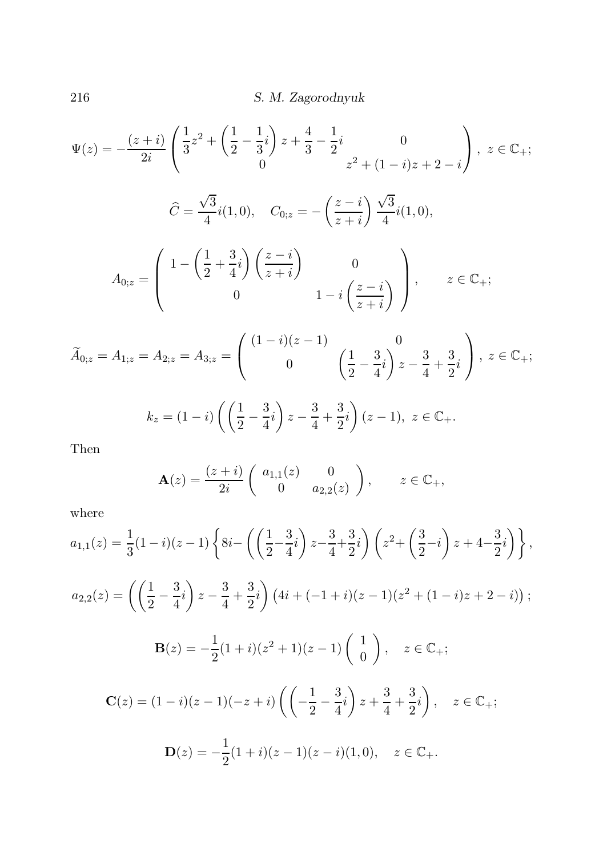$$
\Psi(z) = -\frac{(z+i)}{2i} \left( \frac{1}{3} z^2 + \left( \frac{1}{2} - \frac{1}{3} i \right) z + \frac{4}{3} - \frac{1}{2} i \right)
$$
\n
$$
\hat{C} = \frac{\sqrt{3}}{4} i(1,0), \quad C_{0;z} = -\left( \frac{z-i}{z+i} \right) \frac{\sqrt{3}}{4} i(1,0),
$$
\n
$$
A_{0;z} = \left( \begin{array}{cc} 1 - \left( \frac{1}{2} + \frac{3}{4} i \right) \left( \frac{z-i}{z+i} \right) & 0 \\ 0 & 1 - i \left( \frac{z-i}{z+i} \right) \end{array} \right), \quad z \in \mathbb{C}_{+};
$$
\n
$$
\tilde{A}_{0;z} = A_{1;z} = A_{2;z} = A_{3;z} = \left( \begin{array}{cc} (1-i)(z-1) & 0 \\ 0 & \left( \frac{1}{2} - \frac{3}{4} i \right) z - \frac{3}{4} + \frac{3}{2} i \end{array} \right), \quad z \in \mathbb{C}_{+};
$$
\n
$$
k_{z} = (1-i) \left( \left( \frac{1}{2} - \frac{3}{4} i \right) z - \frac{3}{4} + \frac{3}{2} i \right) (z-1), \quad z \in \mathbb{C}_{+}.
$$

Then

$$
\mathbf{A}(z) = \frac{(z+i)}{2i} \begin{pmatrix} a_{1,1}(z) & 0 \\ 0 & a_{2,2}(z) \end{pmatrix}, \qquad z \in \mathbb{C}_+,
$$

where

$$
a_{1,1}(z) = \frac{1}{3}(1-i)(z-1)\left\{8i-\left(\left(\frac{1}{2}-\frac{3}{4}i\right)z-\frac{3}{4}+\frac{3}{2}i\right)\left(z^2+\left(\frac{3}{2}-i\right)z+4-\frac{3}{2}i\right)\right\},\
$$
  
\n
$$
a_{2,2}(z) = \left(\left(\frac{1}{2}-\frac{3}{4}i\right)z-\frac{3}{4}+\frac{3}{2}i\right)\left(4i+(-1+i)(z-1)(z^2+(1-i)z+2-i)\right);
$$
  
\n
$$
\mathbf{B}(z) = -\frac{1}{2}(1+i)(z^2+1)(z-1)\left(\begin{array}{c}1\\0\end{array}\right), \quad z \in \mathbb{C}_+;
$$
  
\n
$$
\mathbf{C}(z) = (1-i)(z-1)(-z+i)\left(\left(-\frac{1}{2}-\frac{3}{4}i\right)z+\frac{3}{4}+\frac{3}{2}i\right), \quad z \in \mathbb{C}_+;
$$
  
\n
$$
\mathbf{D}(z) = -\frac{1}{2}(1+i)(z-1)(z-i)(1,0), \quad z \in \mathbb{C}_+.
$$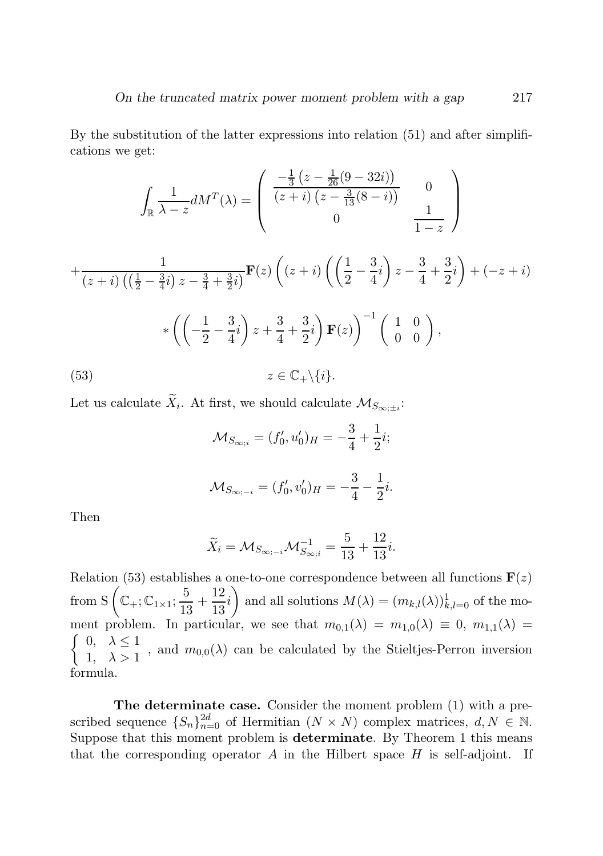By the substitution of the latter expressions into relation (51) and after simplifications we get:

$$
\int_{\mathbb{R}} \frac{1}{\lambda - z} dM^{T}(\lambda) = \begin{pmatrix} \frac{-\frac{1}{3} (z - \frac{1}{26} (9 - 32i))}{(z + i) (z - \frac{3}{13} (8 - i))} & 0\\ 0 & \frac{1}{1 - z} \end{pmatrix}
$$

$$
+ \frac{1}{(z + i) ((\frac{1}{2} - \frac{3}{4}i) z - \frac{3}{4} + \frac{3}{2}i)} \mathbf{F}(z) ((z + i) ((\frac{1}{2} - \frac{3}{4}i) z - \frac{3}{4} + \frac{3}{2}i) + (-z + i)
$$

$$
* ((-\frac{1}{2} - \frac{3}{4}i) z + \frac{3}{4} + \frac{3}{2}i) \mathbf{F}(z) \Big)^{-1} (\begin{pmatrix} 1 & 0\\ 0 & 0 \end{pmatrix}),
$$

$$
z \in \mathbb{C}_{+} \setminus \{i\}.
$$
 (53)

Let us calculate  $X_i$ . At first, we should calculate  $\mathcal{M}_{S_{\infty;\pm i}}$ :

$$
\mathcal{M}_{S_{\infty;i}} = (f'_0, u'_0)_H = -\frac{3}{4} + \frac{1}{2}i;
$$
  

$$
\mathcal{M}_{S_{\infty;i}} = (f'_0, v'_0)_H = -\frac{3}{4} - \frac{1}{2}i.
$$

Then

$$
\widetilde{X}_i = \mathcal{M}_{S_{\infty; -i}} \mathcal{M}_{S_{\infty; i}}^{-1} = \frac{5}{13} + \frac{12}{13}i.
$$

Relation (53) establishes a one-to-one correspondence between all functions  $\mathbf{F}(z)$ from S  $\left( \mathbb{C}_+; \mathbb{C}_{1 \times 1}; \frac{5}{15} \right)$  $\frac{5}{13} + \frac{12}{13}$  $\frac{1}{13}i$ ) and all solutions  $M(\lambda) = (m_{k,l}(\lambda))_{k,l=0}^1$  of the moment problem. In particular, we see that  $m_{0,1}(\lambda) = m_{1,0}(\lambda) \equiv 0, m_{1,1}(\lambda) =$  $\int 0, \lambda \leq 1$  $\begin{array}{c} 1, & \lambda \geq 1 \\ 1, & \lambda > 1 \end{array}$ , and  $m_{0,0}(\lambda)$  can be calculated by the Stieltjes-Perron inversion formula.

The determinate case. Consider the moment problem (1) with a prescribed sequence  $\{S_n\}_{n=0}^{2d}$  of Hermitian  $(N \times N)$  complex matrices,  $d, N \in \mathbb{N}$ . Suppose that this moment problem is determinate. By Theorem 1 this means that the corresponding operator  $A$  in the Hilbert space  $H$  is self-adjoint. If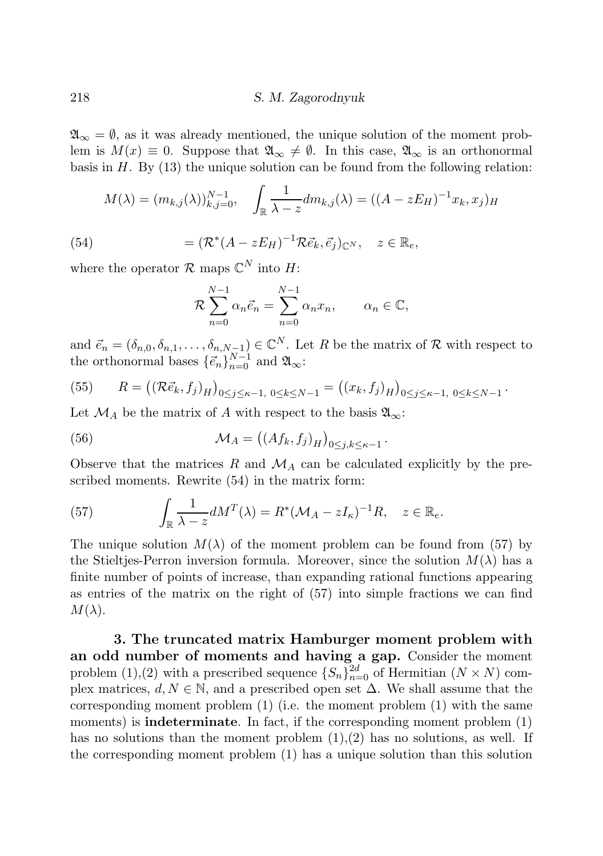$\mathfrak{A}_{\infty} = \emptyset$ , as it was already mentioned, the unique solution of the moment problem is  $M(x) \equiv 0$ . Suppose that  $\mathfrak{A}_{\infty} \neq \emptyset$ . In this case,  $\mathfrak{A}_{\infty}$  is an orthonormal basis in  $H$ . By (13) the unique solution can be found from the following relation:

$$
M(\lambda) = (m_{k,j}(\lambda))_{k,j=0}^{N-1}, \quad \int_{\mathbb{R}} \frac{1}{\lambda - z} dm_{k,j}(\lambda) = ((A - zE_H)^{-1}x_k, x_j)_H
$$
  
(54)
$$
= (\mathcal{R}^*(A - zE_H)^{-1}\mathcal{R}\vec{e}_k, \vec{e}_j)_{\mathbb{C}^N}, \quad z \in \mathbb{R}_e,
$$

where the operator  $\mathcal{R}$  maps  $\mathbb{C}^N$  into  $H$ :

$$
\mathcal{R}\sum_{n=0}^{N-1} \alpha_n \vec{e}_n = \sum_{n=0}^{N-1} \alpha_n x_n, \qquad \alpha_n \in \mathbb{C},
$$

and  $\vec{e}_n = (\delta_{n,0}, \delta_{n,1}, \ldots, \delta_{n,N-1}) \in \mathbb{C}^N$ . Let R be the matrix of R with respect to the orthonormal bases  $\{\vec{e}_n\}_{n=0}^{N-1}$  and  $\mathfrak{A}_{\infty}$ :

(55) 
$$
R = ((\mathcal{R}\vec{e}_k, f_j)_H)_{0 \le j \le \kappa - 1, 0 \le k \le N - 1} = ((x_k, f_j)_H)_{0 \le j \le \kappa - 1, 0 \le k \le N - 1}.
$$

Let  $\mathcal{M}_A$  be the matrix of A with respect to the basis  $\mathfrak{A}_{\infty}$ :

(56) 
$$
\mathcal{M}_A = ((Af_k, f_j)_H)_{0 \le j,k \le \kappa - 1}.
$$

Observe that the matrices  $R$  and  $M_A$  can be calculated explicitly by the prescribed moments. Rewrite (54) in the matrix form:

(57) 
$$
\int_{\mathbb{R}} \frac{1}{\lambda - z} dM^{T}(\lambda) = R^{*} (\mathcal{M}_{A} - zI_{\kappa})^{-1} R, \quad z \in \mathbb{R}_{e}.
$$

The unique solution  $M(\lambda)$  of the moment problem can be found from (57) by the Stieltjes-Perron inversion formula. Moreover, since the solution  $M(\lambda)$  has a finite number of points of increase, than expanding rational functions appearing as entries of the matrix on the right of (57) into simple fractions we can find  $M(\lambda)$ .

3. The truncated matrix Hamburger moment problem with an odd number of moments and having a gap. Consider the moment problem (1),(2) with a prescribed sequence  $\{S_n\}_{n=0}^{2d}$  of Hermitian  $(N \times N)$  complex matrices,  $d, N \in \mathbb{N}$ , and a prescribed open set  $\Delta$ . We shall assume that the corresponding moment problem  $(1)$  (i.e. the moment problem  $(1)$  with the same moments) is **indeterminate**. In fact, if the corresponding moment problem  $(1)$ has no solutions than the moment problem  $(1),(2)$  has no solutions, as well. If the corresponding moment problem (1) has a unique solution than this solution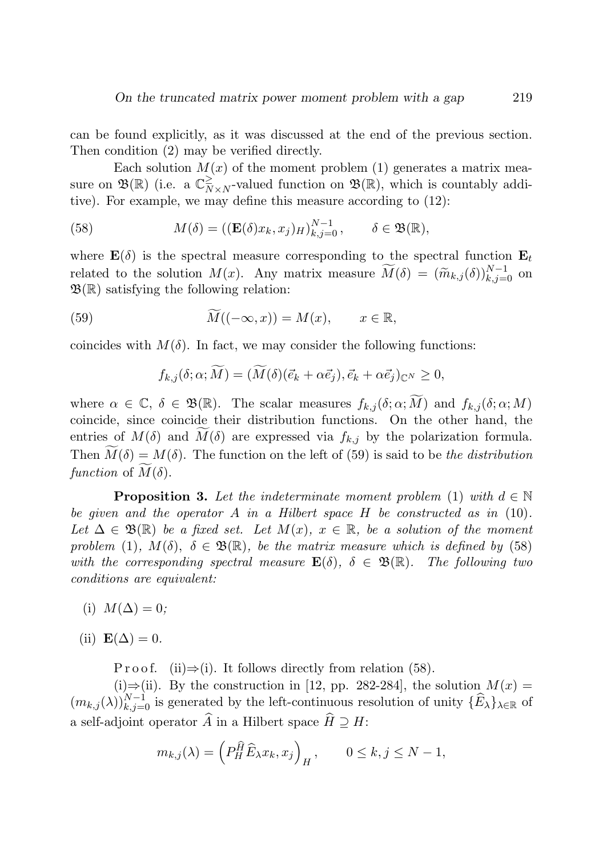can be found explicitly, as it was discussed at the end of the previous section. Then condition (2) may be verified directly.

Each solution  $M(x)$  of the moment problem (1) generates a matrix measure on  $\mathfrak{B}(\mathbb{R})$  (i.e. a  $\mathbb{C}_N^{\geq}$  $\sum_{N\times N}^{\ge}$ -valued function on  $\mathfrak{B}(\mathbb{R})$ , which is countably additive). For example, we may define this measure according to (12):

(58) 
$$
M(\delta) = ((\mathbf{E}(\delta)x_k, x_j)_{H})_{k,j=0}^{N-1}, \quad \delta \in \mathfrak{B}(\mathbb{R}),
$$

where  $\mathbf{E}(\delta)$  is the spectral measure corresponding to the spectral function  $\mathbf{E}_t$ related to the solution  $M(x)$ . Any matrix measure  $\widetilde{M}(\delta) = (\widetilde{m}_{k,j}(\delta))_{k,j=0}^{N-1}$  on  $\mathfrak{B}(\mathbb{R})$  satisfying the following relation:

(59) 
$$
\widetilde{M}((-\infty, x)) = M(x), \qquad x \in \mathbb{R},
$$

coincides with  $M(\delta)$ . In fact, we may consider the following functions:

$$
f_{k,j}(\delta;\alpha;\widetilde{M})=(\widetilde{M}(\delta)(\vec{e}_k+\alpha\vec{e}_j),\vec{e}_k+\alpha\vec{e}_j)_{\mathbb{C}^N}\geq 0,
$$

where  $\alpha \in \mathbb{C}, \delta \in \mathfrak{B}(\mathbb{R})$ . The scalar measures  $f_{k,j}(\delta;\alpha;\widetilde{M})$  and  $f_{k,j}(\delta;\alpha;M)$ coincide, since coincide their distribution functions. On the other hand, the entries of  $M(\delta)$  and  $M(\delta)$  are expressed via  $f_{k,j}$  by the polarization formula. Then  $\widetilde{M}(\delta) = M(\delta)$ . The function on the left of (59) is said to be the distribution function of  $\overline{M}(\delta)$ .

**Proposition 3.** Let the indeterminate moment problem (1) with  $d \in \mathbb{N}$ be given and the operator A in a Hilbert space  $H$  be constructed as in (10). Let  $\Delta \in \mathfrak{B}(\mathbb{R})$  be a fixed set. Let  $M(x)$ ,  $x \in \mathbb{R}$ , be a solution of the moment problem (1),  $M(\delta)$ ,  $\delta \in \mathfrak{B}(\mathbb{R})$ , be the matrix measure which is defined by (58) with the corresponding spectral measure  $\mathbf{E}(\delta)$ ,  $\delta \in \mathfrak{B}(\mathbb{R})$ . The following two conditions are equivalent:

- (i)  $M(\Delta) = 0$ ;
- (ii)  $\mathbf{E}(\Delta) = 0$ .

P r o o f. (ii) $\Rightarrow$  (i). It follows directly from relation (58).

(i)⇒(ii). By the construction in [12, pp. 282-284], the solution  $M(x) =$  $(m_{k,j}(\lambda))_{k,j=0}^{N-1}$  is generated by the left-continuous resolution of unity  $\{\widehat{E}_\lambda\}_{\lambda\in\mathbb{R}}$  of a self-adjoint operator  $\widehat{A}$  in a Hilbert space  $\widehat{H} \supset H$ :

$$
m_{k,j}(\lambda) = \left(P_H^{\widehat{H}} \widehat{E}_{\lambda} x_k, x_j\right)_H, \qquad 0 \le k, j \le N - 1,
$$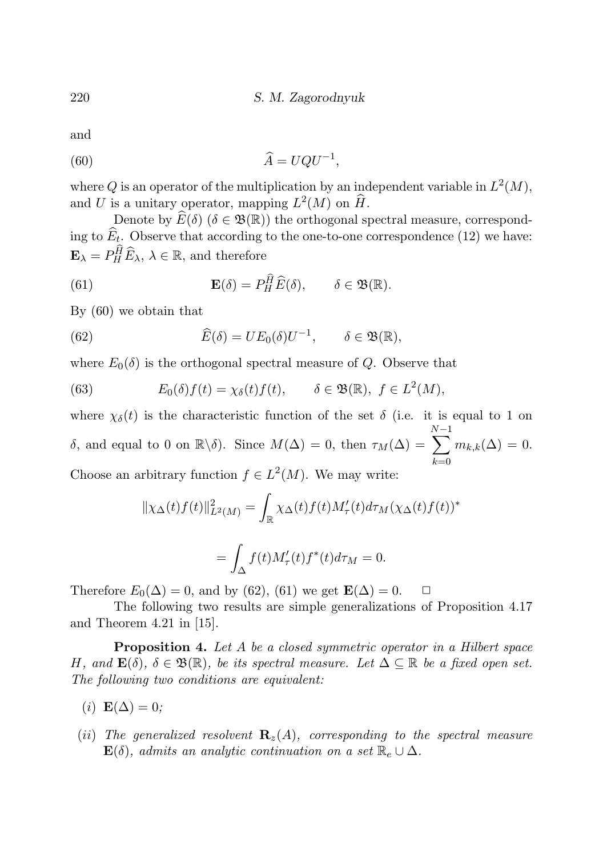and

$$
\widehat{A} = UQU^{-1},
$$

where Q is an operator of the multiplication by an independent variable in  $L^2(M)$ , and U is a unitary operator, mapping  $L^2(M)$  on  $\widehat{H}$ .

Denote by  $\widehat{E}(\delta)$  ( $\delta \in \mathfrak{B}(\mathbb{R})$ ) the orthogonal spectral measure, corresponding to  $E_t$ . Observe that according to the one-to-one correspondence (12) we have:  $\mathbf{E}_{\lambda} = P_H^{\hat{H}} \widehat{E}_{\lambda}, \ \lambda \in \mathbb{R}$ , and therefore

(61) 
$$
\mathbf{E}(\delta) = P_H^{\widehat{H}} \widehat{E}(\delta), \qquad \delta \in \mathfrak{B}(\mathbb{R}).
$$

By (60) we obtain that

(62) 
$$
\widehat{E}(\delta) = UE_0(\delta)U^{-1}, \qquad \delta \in \mathfrak{B}(\mathbb{R}),
$$

where  $E_0(\delta)$  is the orthogonal spectral measure of Q. Observe that

(63) 
$$
E_0(\delta) f(t) = \chi_{\delta}(t) f(t), \qquad \delta \in \mathfrak{B}(\mathbb{R}), \ f \in L^2(M),
$$

where  $\chi_{\delta}(t)$  is the characteristic function of the set  $\delta$  (i.e. it is equal to 1 on δ, and equal to 0 on  $\mathbb{R}\backslash\delta$ . Since  $M(\Delta) = 0$ , then  $\tau_M(\Delta) =$  $\sum^{N-1}$  $_{k=0}$  $m_{k,k}(\Delta) = 0.$ Choose an arbitrary function  $f \in L^2(M)$ . We may write:

$$
\begin{aligned} \|\chi_\Delta(t)f(t)\|_{L^2(M)}^2 &= \int_{\mathbb{R}} \chi_\Delta(t)f(t)M_\tau'(t)d\tau_M(\chi_\Delta(t)f(t))^*\\ &= \int_\Delta f(t)M_\tau'(t)f^*(t)d\tau_M=0. \end{aligned}
$$

Therefore  $E_0(\Delta) = 0$ , and by (62), (61) we get  $\mathbf{E}(\Delta) = 0$ .  $\Box$ 

The following two results are simple generalizations of Proposition 4.17 and Theorem 4.21 in [15].

**Proposition 4.** Let A be a closed symmetric operator in a Hilbert space H, and  $\mathbf{E}(\delta)$ ,  $\delta \in \mathfrak{B}(\mathbb{R})$ , be its spectral measure. Let  $\Delta \subseteq \mathbb{R}$  be a fixed open set. The following two conditions are equivalent:

$$
(i) \mathbf{E}(\Delta) = 0;
$$

(ii) The generalized resolvent  $\mathbf{R}_z(A)$ , corresponding to the spectral measure  $\mathbf{E}(\delta)$ , admits an analytic continuation on a set  $\mathbb{R}_e \cup \Delta$ .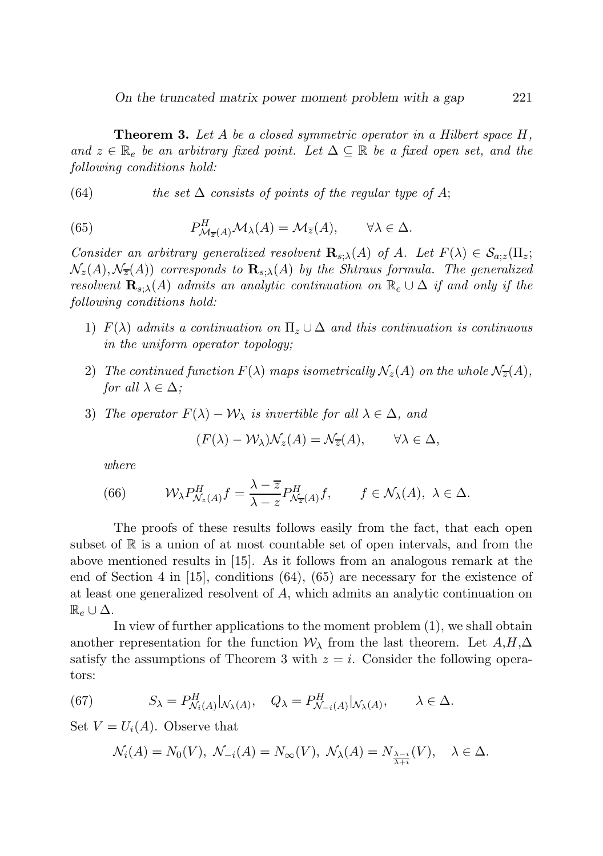*On the truncated matrix power moment problem with a gap* 221

**Theorem 3.** Let  $A$  be a closed symmetric operator in a Hilbert space  $H$ , and  $z \in \mathbb{R}_e$  be an arbitrary fixed point. Let  $\Delta \subseteq \mathbb{R}$  be a fixed open set, and the following conditions hold:

(64) the set  $\Delta$  consists of points of the regular type of A;

(65) 
$$
P_{\mathcal{M}_{\overline{z}}(A)}^H \mathcal{M}_{\lambda}(A) = \mathcal{M}_{\overline{z}}(A), \qquad \forall \lambda \in \Delta.
$$

Consider an arbitrary generalized resolvent  $\mathbf{R}_{s,\lambda}(A)$  of A. Let  $F(\lambda) \in \mathcal{S}_{a,z}(\Pi_z;$  $\mathcal{N}_z(A), \mathcal{N}_{\overline{z}}(A)$  corresponds to  $\mathbf{R}_{s:\lambda}(A)$  by the Shtraus formula. The generalized resolvent  $\mathbf{R}_{s,\lambda}(A)$  admits an analytic continuation on  $\mathbb{R}_e \cup \Delta$  if and only if the following conditions hold:

- 1)  $F(\lambda)$  admits a continuation on  $\Pi_z \cup \Delta$  and this continuation is continuous in the uniform operator topology;
- 2) The continued function  $F(\lambda)$  maps isometrically  $\mathcal{N}_z(A)$  on the whole  $\mathcal{N}_{\overline{z}}(A)$ , for all  $\lambda \in \Delta$ ;
- 3) The operator  $F(\lambda) \mathcal{W}_{\lambda}$  is invertible for all  $\lambda \in \Delta$ , and

$$
(F(\lambda) - \mathcal{W}_{\lambda})\mathcal{N}_z(A) = \mathcal{N}_{\overline{z}}(A), \qquad \forall \lambda \in \Delta,
$$

where

(66) 
$$
\mathcal{W}_{\lambda} P_{\mathcal{N}_z(A)}^H f = \frac{\lambda - \overline{z}}{\lambda - z} P_{\mathcal{N}_{\overline{z}}(A)}^H f, \qquad f \in \mathcal{N}_{\lambda}(A), \ \lambda \in \Delta.
$$

The proofs of these results follows easily from the fact, that each open subset of  $\mathbb R$  is a union of at most countable set of open intervals, and from the above mentioned results in [15]. As it follows from an analogous remark at the end of Section 4 in [15], conditions (64), (65) are necessary for the existence of at least one generalized resolvent of A, which admits an analytic continuation on  $\mathbb{R}_e \cup \Delta$ .

In view of further applications to the moment problem  $(1)$ , we shall obtain another representation for the function  $\mathcal{W}_{\lambda}$  from the last theorem. Let  $A, H, \Delta$ satisfy the assumptions of Theorem 3 with  $z = i$ . Consider the following operators:

(67) 
$$
S_{\lambda} = P_{\mathcal{N}_i(A)}^H|_{\mathcal{N}_{\lambda}(A)}, \quad Q_{\lambda} = P_{\mathcal{N}_{-i}(A)}^H|_{\mathcal{N}_{\lambda}(A)}, \qquad \lambda \in \Delta.
$$

Set  $V = U_i(A)$ . Observe that

$$
\mathcal{N}_i(A) = N_0(V), \ \mathcal{N}_{-i}(A) = N_\infty(V), \ \mathcal{N}_\lambda(A) = N_{\frac{\lambda - i}{\lambda + i}}(V), \quad \lambda \in \Delta.
$$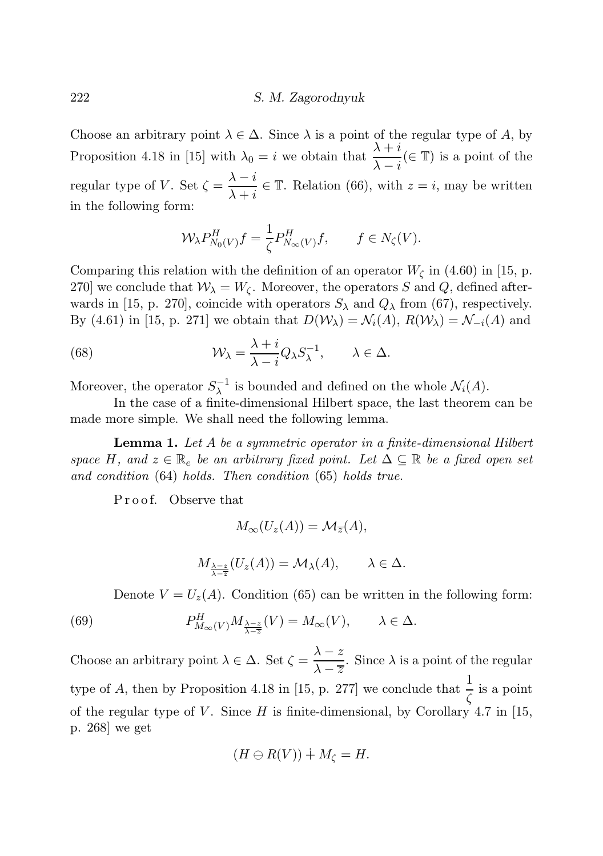Choose an arbitrary point  $\lambda \in \Delta$ . Since  $\lambda$  is a point of the regular type of A, by Proposition 4.18 in [15] with  $\lambda_0 = i$  we obtain that  $\frac{\lambda + i}{\lambda}$  $\frac{\lambda + i}{\lambda - i}$  ( $\in \mathbb{T}$ ) is a point of the regular type of V. Set  $\zeta = \frac{\lambda - i}{\lambda - i}$  $\frac{\lambda - i}{\lambda + i} \in \mathbb{T}$ . Relation (66), with  $z = i$ , may be written in the following form:

$$
\mathcal{W}_{\lambda} P_{N_0(V)}^H f = \frac{1}{\zeta} P_{N_\infty(V)}^H f, \qquad f \in N_{\zeta}(V).
$$

Comparing this relation with the definition of an operator  $W_{\zeta}$  in (4.60) in [15, p. 270] we conclude that  $W_{\lambda} = W_{\zeta}$ . Moreover, the operators S and Q, defined afterwards in [15, p. 270], coincide with operators  $S_\lambda$  and  $Q_\lambda$  from (67), respectively. By (4.61) in [15, p. 271] we obtain that  $D(\mathcal{W}_\lambda) = \mathcal{N}_i(A)$ ,  $R(\mathcal{W}_\lambda) = \mathcal{N}_{-i}(A)$  and

(68) 
$$
\mathcal{W}_{\lambda} = \frac{\lambda + i}{\lambda - i} Q_{\lambda} S_{\lambda}^{-1}, \qquad \lambda \in \Delta.
$$

Moreover, the operator  $S_{\lambda}^{-1}$  is bounded and defined on the whole  $\mathcal{N}_i(A)$ .

In the case of a finite-dimensional Hilbert space, the last theorem can be made more simple. We shall need the following lemma.

Lemma 1. Let A be a symmetric operator in a finite-dimensional Hilbert space H, and  $z \in \mathbb{R}_e$  be an arbitrary fixed point. Let  $\Delta \subseteq \mathbb{R}$  be a fixed open set and condition (64) holds. Then condition (65) holds true.

Proof. Observe that

$$
M_{\infty}(U_z(A))=\mathcal{M}_{\overline{z}}(A),
$$

$$
M_{\frac{\lambda-z}{\lambda-\overline{z}}}(U_z(A))=\mathcal{M}_{\lambda}(A), \qquad \lambda \in \Delta.
$$

Denote  $V = U_z(A)$ . Condition (65) can be written in the following form:

(69) 
$$
P_{M_{\infty}(V)}^H M_{\frac{\lambda-z}{\lambda-\overline{z}}}(V) = M_{\infty}(V), \qquad \lambda \in \Delta.
$$

Choose an arbitrary point  $\lambda \in \Delta$ . Set  $\zeta = \frac{\lambda - z}{\lambda - \overline{z}}$  $\sqrt{\frac{\lambda}{\lambda - z}}$ . Since  $\lambda$  is a point of the regular type of A, then by Proposition 4.18 in [15, p. 277] we conclude that  $\frac{1}{\zeta}$  is a point of the regular type of V. Since  $H$  is finite-dimensional, by Corollary 4.7 in [15, p. 268] we get

$$
(H\ominus R(V))\dotplus M_{\zeta}=H.
$$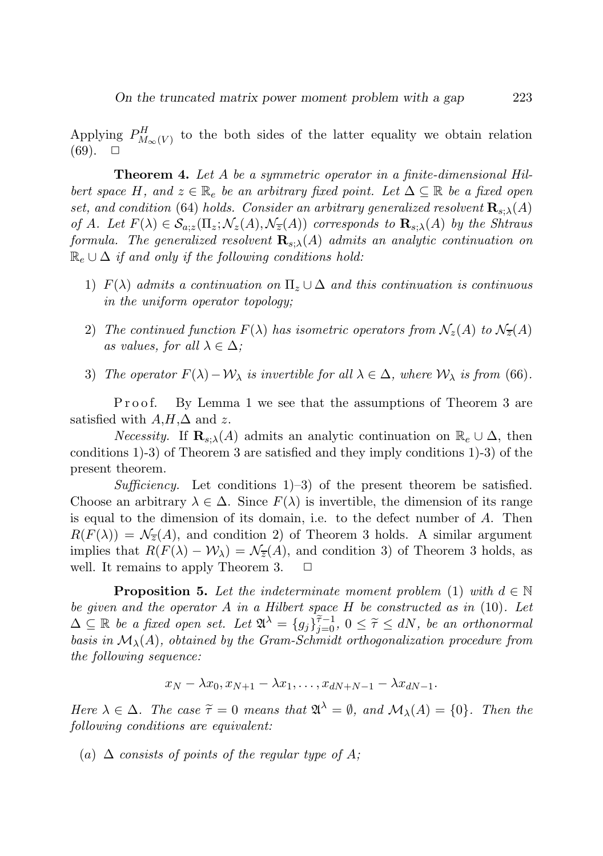Applying  $P_{M_{\infty}(V)}^{H}$  to the both sides of the latter equality we obtain relation  $(69)$ .  $\Box$ 

Theorem 4. Let A be a symmetric operator in a finite-dimensional Hilbert space H, and  $z \in \mathbb{R}_e$  be an arbitrary fixed point. Let  $\Delta \subseteq \mathbb{R}$  be a fixed open set, and condition (64) holds. Consider an arbitrary generalized resolvent  $\mathbf{R}_{s:\lambda}(A)$ of A. Let  $F(\lambda) \in \mathcal{S}_{a;z}(\Pi_z; \mathcal{N}_z(A), \mathcal{N}_z(A))$  corresponds to  $\mathbf{R}_{s;\lambda}(A)$  by the Shtraus formula. The generalized resolvent  $\mathbf{R}_{s}(\mathbf{A})$  admits an analytic continuation on  $\mathbb{R}_e \cup \Delta$  if and only if the following conditions hold:

- 1)  $F(\lambda)$  admits a continuation on  $\Pi_z \cup \Delta$  and this continuation is continuous in the uniform operator topology;
- 2) The continued function  $F(\lambda)$  has isometric operators from  $\mathcal{N}_z(A)$  to  $\mathcal{N}_{\overline{z}}(A)$ as values, for all  $\lambda \in \Delta$ ;
- 3) The operator  $F(\lambda)-\mathcal{W}_{\lambda}$  is invertible for all  $\lambda \in \Delta$ , where  $\mathcal{W}_{\lambda}$  is from (66).

Proof. By Lemma 1 we see that the assumptions of Theorem 3 are satisfied with  $A, H, \Delta$  and z.

*Necessity.* If  $\mathbf{R}_{s:\lambda}(A)$  admits an analytic continuation on  $\mathbb{R}_e \cup \Delta$ , then conditions 1)-3) of Theorem 3 are satisfied and they imply conditions 1)-3) of the present theorem.

Sufficiency. Let conditions  $1$ )–3) of the present theorem be satisfied. Choose an arbitrary  $\lambda \in \Delta$ . Since  $F(\lambda)$  is invertible, the dimension of its range is equal to the dimension of its domain, i.e. to the defect number of A. Then  $R(F(\lambda)) = \mathcal{N}_{\overline{z}}(A)$ , and condition 2) of Theorem 3 holds. A similar argument implies that  $R(F(\lambda) - W_{\lambda}) = \mathcal{N}_{\overline{z}}(A)$ , and condition 3) of Theorem 3 holds, as well. It remains to apply Theorem 3.  $\square$ well. It remains to apply Theorem 3.

**Proposition 5.** Let the indeterminate moment problem (1) with  $d \in \mathbb{N}$ be given and the operator A in a Hilbert space  $H$  be constructed as in (10). Let  $\Delta \subseteq \mathbb{R}$  be a fixed open set. Let  $\mathfrak{A}^{\lambda} = \{g_j\}_{j=0}^{\tilde{\tau}-1}$ ,  $0 \leq \tilde{\tau} \leq dN$ , be an orthonormal basis in  $\mathcal{M}_{\lambda}(A)$ , obtained by the Gram-Schmidt orthogonalization procedure from the following sequence:

$$
x_N - \lambda x_0, x_{N+1} - \lambda x_1, \ldots, x_{dN+N-1} - \lambda x_{dN-1}.
$$

Here  $\lambda \in \Delta$ . The case  $\tilde{\tau} = 0$  means that  $\mathfrak{A}^{\lambda} = \emptyset$ , and  $\mathcal{M}_{\lambda}(A) = \{0\}$ . Then the following conditions are equivalent:

(a)  $\Delta$  consists of points of the regular type of A;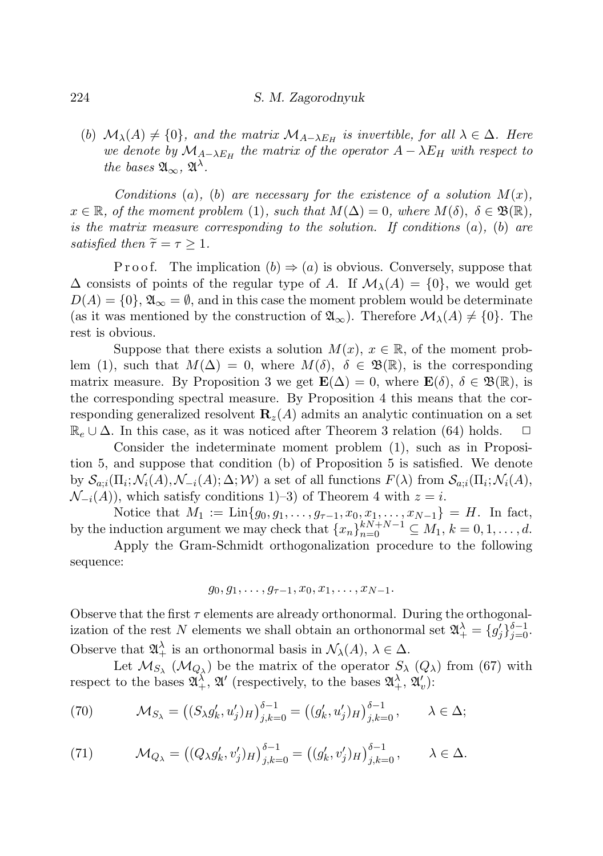(b)  $\mathcal{M}_{\lambda}(A) \neq \{0\}$ , and the matrix  $\mathcal{M}_{A-\lambda E_H}$  is invertible, for all  $\lambda \in \Delta$ . Here we denote by  $\mathcal{M}_{A-\lambda E_H}$  the matrix of the operator  $A-\lambda E_H$  with respect to the bases  $\mathfrak{A}_{\infty}$ ,  $\mathfrak{A}^{\lambda}$ .

Conditions (a), (b) are necessary for the existence of a solution  $M(x)$ ,  $x \in \mathbb{R}$ , of the moment problem (1), such that  $M(\Delta) = 0$ , where  $M(\delta)$ ,  $\delta \in \mathfrak{B}(\mathbb{R})$ , is the matrix measure corresponding to the solution. If conditions  $(a)$ ,  $(b)$  are satisfied then  $\tilde{\tau} = \tau \geq 1$ .

P r o o f. The implication  $(b) \Rightarrow (a)$  is obvious. Conversely, suppose that  $\Delta$  consists of points of the regular type of A. If  $\mathcal{M}_{\lambda}(A) = \{0\}$ , we would get  $D(A) = \{0\}, \mathfrak{A}_{\infty} = \emptyset$ , and in this case the moment problem would be determinate (as it was mentioned by the construction of  $\mathfrak{A}_{\infty}$ ). Therefore  $\mathcal{M}_{\lambda}(A) \neq \{0\}$ . The rest is obvious.

Suppose that there exists a solution  $M(x)$ ,  $x \in \mathbb{R}$ , of the moment problem (1), such that  $M(\Delta) = 0$ , where  $M(\delta)$ ,  $\delta \in \mathfrak{B}(\mathbb{R})$ , is the corresponding matrix measure. By Proposition 3 we get  $\mathbf{E}(\Delta) = 0$ , where  $\mathbf{E}(\delta)$ ,  $\delta \in \mathfrak{B}(\mathbb{R})$ , is the corresponding spectral measure. By Proposition 4 this means that the corresponding generalized resolvent  $\mathbf{R}_z(A)$  admits an analytic continuation on a set  $\mathbb{R}_e \cup \Delta$ . In this case, as it was noticed after Theorem 3 relation (64) holds.  $\Box$ 

Consider the indeterminate moment problem (1), such as in Proposition 5, and suppose that condition (b) of Proposition 5 is satisfied. We denote by  $\mathcal{S}_{a,i}(\Pi_i; \mathcal{N}_i(A), \mathcal{N}_{-i}(A); \Delta; \mathcal{W})$  a set of all functions  $F(\lambda)$  from  $\mathcal{S}_{a,i}(\Pi_i; \mathcal{N}_i(A),$  $\mathcal{N}_{-i}(A)$ , which satisfy conditions 1)–3) of Theorem 4 with  $z = i$ .

Notice that  $M_1 := \text{Lin}\{g_0, g_1, \ldots, g_{\tau-1}, x_0, x_1, \ldots, x_{N-1}\} = H$ . In fact, by the induction argument we may check that  $\{x_n\}_{n=0}^{kN+N-1} \subseteq M_1, k = 0, 1, \ldots, d$ .

Apply the Gram-Schmidt orthogonalization procedure to the following sequence:

$$
g_0, g_1, \ldots, g_{\tau-1}, x_0, x_1, \ldots, x_{N-1}.
$$

Observe that the first  $\tau$  elements are already orthonormal. During the orthogonalization of the rest N elements we shall obtain an orthonormal set  $\mathfrak{A}^{\lambda}_{+} = \{g'_j\}_{j=0}^{\delta-1}$ . Observe that  $\mathfrak{A}^{\lambda}_{+}$  is an orthonormal basis in  $\mathcal{N}_{\lambda}(A), \lambda \in \Delta$ .

Let  $\mathcal{M}_{S_{\lambda}}(\mathcal{M}_{Q_{\lambda}})$  be the matrix of the operator  $S_{\lambda}$   $(Q_{\lambda})$  from (67) with respect to the bases  $\mathfrak{A}^{\lambda}_{+}$ ,  $\mathfrak{A}'$  (respectively, to the bases  $\mathfrak{A}^{\lambda}_{+}$ ,  $\mathfrak{A}'_{v}$ ):

(70) 
$$
\mathcal{M}_{S_{\lambda}} = ((S_{\lambda}g'_{k}, u'_{j})_{H})_{j,k=0}^{\delta-1} = ((g'_{k}, u'_{j})_{H})_{j,k=0}^{\delta-1}, \qquad \lambda \in \Delta;
$$

(71) 
$$
\mathcal{M}_{Q_{\lambda}} = ((Q_{\lambda}g'_{k}, v'_{j})_{H})_{j,k=0}^{\delta-1} = ((g'_{k}, v'_{j})_{H})_{j,k=0}^{\delta-1}, \qquad \lambda \in \Delta.
$$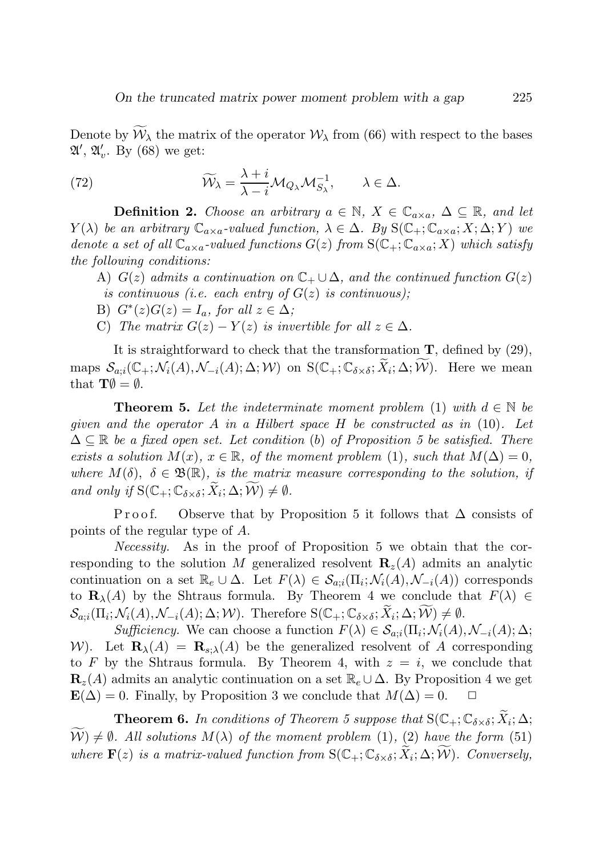Denote by  $\mathcal{W}_{\lambda}$  the matrix of the operator  $\mathcal{W}_{\lambda}$  from (66) with respect to the bases  $\mathfrak{A}', \mathfrak{A}'_v$ . By (68) we get:

(72) 
$$
\widetilde{W}_{\lambda} = \frac{\lambda + i}{\lambda - i} \mathcal{M}_{Q_{\lambda}} \mathcal{M}_{S_{\lambda}}^{-1}, \qquad \lambda \in \Delta.
$$

**Definition 2.** Choose an arbitrary  $a \in \mathbb{N}$ ,  $X \in \mathbb{C}_{a \times a}$ ,  $\Delta \subseteq \mathbb{R}$ , and let  $Y(\lambda)$  be an arbitrary  $\mathbb{C}_{a \times a}$ -valued function,  $\lambda \in \Delta$ . By  $S(\mathbb{C}_+;\mathbb{C}_{a \times a};X;\Delta;Y)$  we denote a set of all  $\mathbb{C}_{a \times a}$ -valued functions  $G(z)$  from  $S(\mathbb{C}_+;\mathbb{C}_{a \times a};X)$  which satisfy the following conditions:

- A)  $G(z)$  admits a continuation on  $\mathbb{C}_+ \cup \Delta$ , and the continued function  $G(z)$ is continuous (i.e. each entry of  $G(z)$  is continuous);
- B)  $G^*(z)G(z) = I_a$ , for all  $z \in \Delta$ ;
- C) The matrix  $G(z) Y(z)$  is invertible for all  $z \in \Delta$ .

It is straightforward to check that the transformation  $\mathbf{T}$ , defined by (29), maps  $\mathcal{S}_{a,i}(\mathbb{C}_+;\mathcal{N}_i(A),\mathcal{N}_{-i}(A); \Delta; \mathcal{W})$  on  $S(\mathbb{C}_+;\mathbb{C}_{\delta \times \delta}; \widetilde{X}_i; \Delta; \widetilde{\mathcal{W}})$ . Here we mean that  $\mathbf{T}\emptyset = \emptyset$ .

**Theorem 5.** Let the indeterminate moment problem (1) with  $d \in \mathbb{N}$  be given and the operator A in a Hilbert space H be constructed as in  $(10)$ . Let  $\Delta \subseteq \mathbb{R}$  be a fixed open set. Let condition (b) of Proposition 5 be satisfied. There exists a solution  $M(x)$ ,  $x \in \mathbb{R}$ , of the moment problem (1), such that  $M(\Delta) = 0$ , where  $M(\delta)$ ,  $\delta \in \mathfrak{B}(\mathbb{R})$ , is the matrix measure corresponding to the solution, if and only if  $S(C_+; C_{\delta \times \delta}; \widetilde{X}_i; \Delta; \widetilde{W}) \neq \emptyset$ .

Proof. Observe that by Proposition 5 it follows that  $\Delta$  consists of points of the regular type of A.

Necessity. As in the proof of Proposition 5 we obtain that the corresponding to the solution M generalized resolvent  $\mathbf{R}_z(A)$  admits an analytic continuation on a set  $\mathbb{R}_e \cup \Delta$ . Let  $F(\lambda) \in \mathcal{S}_{a,i}(\Pi_i; \mathcal{N}_i(A), \mathcal{N}_{-i}(A))$  corresponds to  $\mathbf{R}_{\lambda}(A)$  by the Shtraus formula. By Theorem 4 we conclude that  $F(\lambda) \in$  $\mathcal{S}_{a;i}(\Pi_i; \mathcal{N}_i(A), \mathcal{N}_{-i}(A); \Delta; \mathcal{W})$ . Therefore  $S(\mathbb{C}_+; \mathbb{C}_{\delta \times \delta}; \widetilde{X}_i; \Delta; \widetilde{\mathcal{W}}) \neq \emptyset$ .

Sufficiency. We can choose a function  $F(\lambda) \in S_{a,i}(\Pi_i; \mathcal{N}_i(A), \mathcal{N}_{-i}(A); \Delta;$ W). Let  $\mathbf{R}_{\lambda}(A) = \mathbf{R}_{s,\lambda}(A)$  be the generalized resolvent of A corresponding to F by the Shtraus formula. By Theorem 4, with  $z = i$ , we conclude that  $\mathbf{R}_z(A)$  admits an analytic continuation on a set  $\mathbb{R}_e \cup \Delta$ . By Proposition 4 we get  $\mathbf{E}(\Delta) = 0$ . Finally, by Proposition 3 we conclude that  $M(\Delta) = 0$ .

**Theorem 6.** In conditions of Theorem 5 suppose that  $S(\mathbb{C}_+;\mathbb{C}_{\delta\times\delta};\widetilde{X}_i;\Delta;$  $\widetilde{\mathcal{W}}\neq\emptyset$ . All solutions  $M(\lambda)$  of the moment problem (1), (2) have the form (51) where  $\mathbf{F}(z)$  is a matrix-valued function from  $S(C_+; \mathbb{C}_{\delta \times \delta}; \tilde{X}_i; \Delta; \tilde{W})$ . Conversely,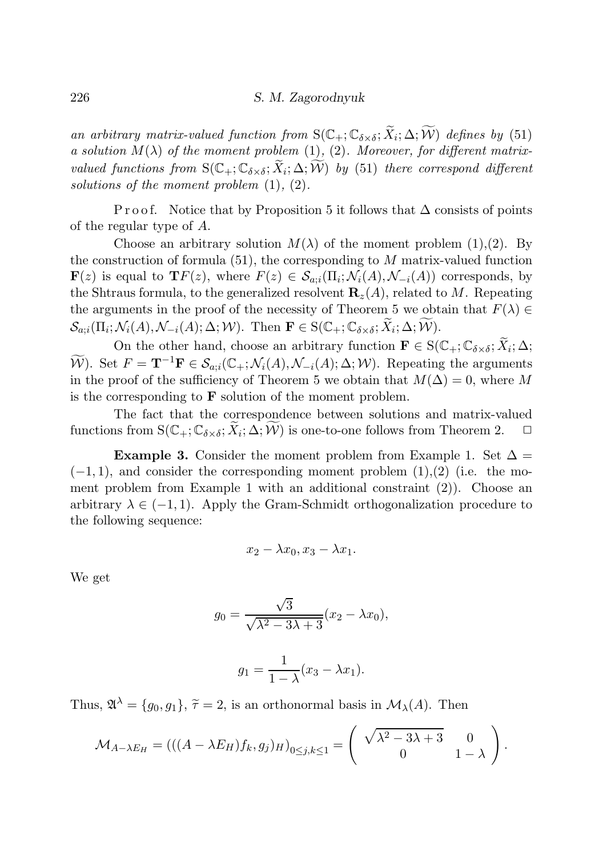an arbitrary matrix-valued function from  $S(C_+; C_{\delta \times \delta}; \widetilde{X}_i; \Delta; \widetilde{W})$  defines by (51) a solution  $M(\lambda)$  of the moment problem (1), (2). Moreover, for different matrixvalued functions from  $S(\mathbb{C}_+;\mathbb{C}_{\delta\times\delta};\widetilde{X}_i;\Delta;\widetilde{W})$  by (51) there correspond different solutions of the moment problem  $(1), (2)$ .

P r o o f. Notice that by P roposition 5 it follows that  $\Delta$  consists of points of the regular type of A.

Choose an arbitrary solution  $M(\lambda)$  of the moment problem (1), (2). By the construction of formula  $(51)$ , the corresponding to M matrix-valued function  $\mathbf{F}(z)$  is equal to  $\mathbf{T}F(z)$ , where  $F(z) \in \mathcal{S}_{a;i}(\Pi_i; \mathcal{N}_i(A), \mathcal{N}_{-i}(A))$  corresponds, by the Shtraus formula, to the generalized resolvent  $\mathbf{R}_z(A)$ , related to M. Repeating the arguments in the proof of the necessity of Theorem 5 we obtain that  $F(\lambda) \in$  $\mathcal{S}_{a;i}(\Pi_i; \mathcal{N}_i(A), \mathcal{N}_{-i}(A); \Delta; \mathcal{W})$ . Then  $\mathbf{F} \in S(\mathbb{C}_+; \mathbb{C}_{\delta \times \delta}; \widetilde{X}_i; \Delta; \widetilde{\mathcal{W}})$ .

On the other hand, choose an arbitrary function  $\mathbf{F} \in S(\mathbb{C}_+;\mathbb{C}_{\delta \times \delta}; \widetilde{X}_i; \Delta;$  $\widetilde{\mathcal{W}}$ ). Set  $F = \mathbf{T}^{-1}\mathbf{F} \in \mathcal{S}_{a;i}(\mathbb{C}_+;\mathcal{N}_i(A),\mathcal{N}_{-i}(A);\Delta;\mathcal{W})$ . Repeating the arguments in the proof of the sufficiency of Theorem 5 we obtain that  $M(\Delta) = 0$ , where M is the corresponding to  $\bf{F}$  solution of the moment problem.

The fact that the correspondence between solutions and matrix-valued functions from  $S(\mathbb{C}_+;\mathbb{C}_{\delta\times\delta};\widetilde{X}_i;\Delta;\widetilde{W})$  is one-to-one follows from Theorem 2.  $\Box$ 

Example 3. Consider the moment problem from Example 1. Set  $\Delta =$  $(-1, 1)$ , and consider the corresponding moment problem  $(1), (2)$  (i.e. the moment problem from Example 1 with an additional constraint (2)). Choose an arbitrary  $\lambda \in (-1,1)$ . Apply the Gram-Schmidt orthogonalization procedure to the following sequence:

$$
x_2 - \lambda x_0, x_3 - \lambda x_1.
$$

We get

$$
g_0 = \frac{\sqrt{3}}{\sqrt{\lambda^2 - 3\lambda + 3}} (x_2 - \lambda x_0),
$$

$$
g_1 = \frac{1}{1 - \lambda}(x_3 - \lambda x_1).
$$

Thus,  $\mathfrak{A}^{\lambda} = \{g_0, g_1\}, \, \tilde{\tau} = 2$ , is an orthonormal basis in  $\mathcal{M}_{\lambda}(A)$ . Then

$$
\mathcal{M}_{A-\lambda E_H} = (((A - \lambda E_H)f_k, g_j)_H)_{0 \le j,k \le 1} = \begin{pmatrix} \sqrt{\lambda^2 - 3\lambda + 3} & 0 \\ 0 & 1 - \lambda \end{pmatrix}.
$$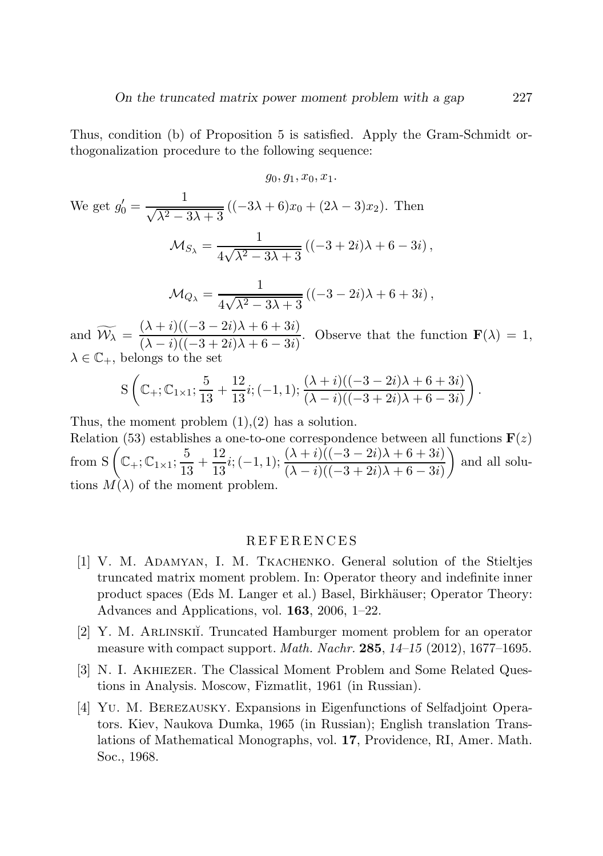Thus, condition (b) of Proposition 5 is satisfied. Apply the Gram-Schmidt orthogonalization procedure to the following sequence:

$$
g_0, g_1, x_0, x_1.
$$

We get 
$$
g'_0 = \frac{1}{\sqrt{\lambda^2 - 3\lambda + 3}} ((-3\lambda + 6)x_0 + (2\lambda - 3)x_2)
$$
. Then  
\n
$$
\mathcal{M}_{S_{\lambda}} = \frac{1}{4\sqrt{\lambda^2 - 3\lambda + 3}} ((-3 + 2i)\lambda + 6 - 3i),
$$
\n
$$
\mathcal{M}_{Q_{\lambda}} = \frac{1}{4\sqrt{\lambda^2 - 3\lambda + 3}} ((-3 - 2i)\lambda + 6 + 3i),
$$

and  $\widetilde{\mathcal{W}}_{\lambda} = \frac{(\lambda + i)((-3 - 2i)\lambda + 6 + 3i)}{(\lambda - i)((-3 + 2i)\lambda + 6 - 3i)}$  $(\lambda - i)((-3 + 2i)\lambda + 6 - 3i)$ . Observe that the function  $\mathbf{F}(\lambda) = 1$ ,  $\lambda \in \mathbb{C}_{+}$ , belongs to the set

$$
S\left( \mathbb{C}_+; \mathbb{C}_{1\times 1}; \frac{5}{13} + \frac{12}{13}i; (-1,1); \frac{(\lambda + i)((-3 - 2i)\lambda + 6 + 3i)}{(\lambda - i)((-3 + 2i)\lambda + 6 - 3i)} \right).
$$

Thus, the moment problem  $(1),(2)$  has a solution.

Relation (53) establishes a one-to-one correspondence between all functions  $F(z)$ from S  $\left( \mathbb{C}_+; \mathbb{C}_{1 \times 1}; \frac{5}{15} \right)$  $\frac{5}{13} + \frac{12}{13}$  $\frac{12}{13}i; (-1,1); \frac{(\lambda+i)((-3-2i)\lambda+6+3i)}{(\lambda-i)((-3+2i)\lambda+6-3i)}$  $\setminus$ and all solutions  $M(\lambda)$  of the moment problem.

#### R E F E R E N C E S

- [1] V. M. Adamyan, I. M. Tkachenko. General solution of the Stieltjes truncated matrix moment problem. In: Operator theory and indefinite inner product spaces (Eds M. Langer et al.) Basel, Birkh¨auser; Operator Theory: Advances and Applications, vol. 163, 2006, 1–22.
- [2] Y. M. ARLINSKII. Truncated Hamburger moment problem for an operator measure with compact support. Math. Nachr. 285, *14–15* (2012), 1677–1695.
- [3] N. I. Akhiezer. The Classical Moment Problem and Some Related Questions in Analysis. Moscow, Fizmatlit, 1961 (in Russian).
- [4] Yu. M. Berezausky. Expansions in Eigenfunctions of Selfadjoint Operators. Kiev, Naukova Dumka, 1965 (in Russian); English translation Translations of Mathematical Monographs, vol. 17, Providence, RI, Amer. Math. Soc., 1968.